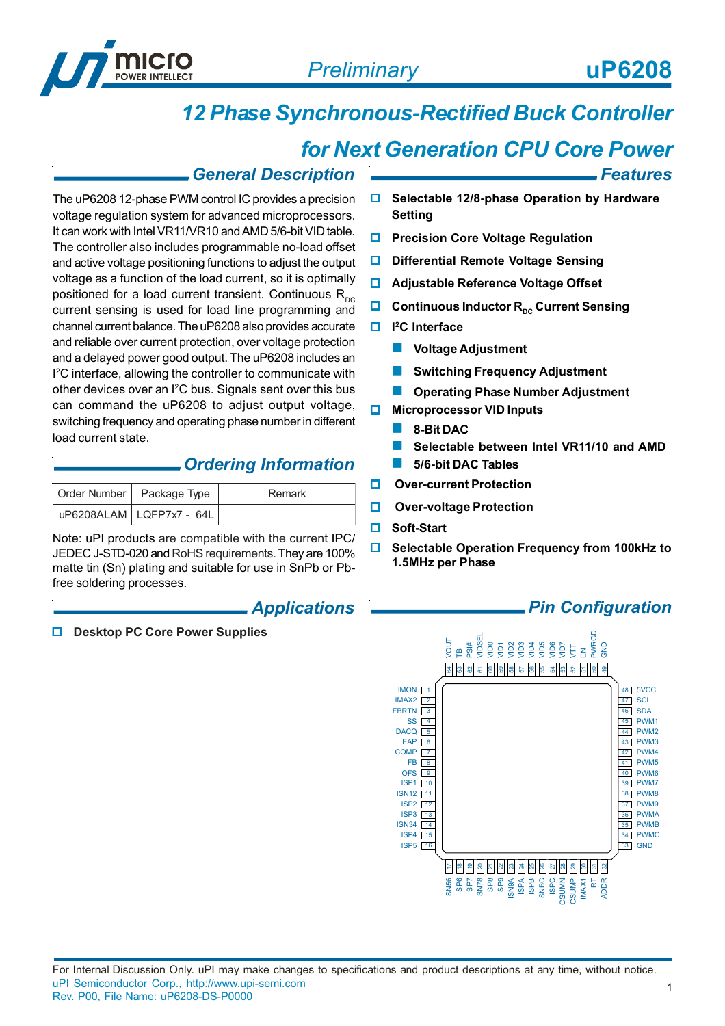

*Features*

# *12 Phase Synchronous-Rectified Buck Controller*

## *for Next Generation CPU Core Power*

#### *General Description*

The uP6208 12-phase PWM control IC provides a precision voltage regulation system for advanced microprocessors. It can work with Intel VR11/VR10 and AMD 5/6-bit VID table. The controller also includes programmable no-load offset and active voltage positioning functions to adjust the output voltage as a function of the load current, so it is optimally positioned for a load current transient. Continuous  $R_{DC}$ current sensing is used for load line programming and channel current balance. The uP6208 also provides accurate and reliable over current protection, over voltage protection and a delayed power good output. The uP6208 includes an I 2 C interface, allowing the controller to communicate with other devices over an I<sup>2</sup>C bus. Signals sent over this bus can command the uP6208 to adjust output voltage, switching frequency and operating phase number in different load current state.

#### *Ordering Information*

| Order Number   Package Type             | Remark |
|-----------------------------------------|--------|
| uP6208ALAM   LQFP7x7 - 64L <sup> </sup> |        |

Note: uPI products are compatible with the current IPC/ JEDEC J-STD-020 and RoHS requirements. They are 100% matte tin (Sn) plating and suitable for use in SnPb or Pbfree soldering processes.

#### *Applications*

**Desktop PC Core Power Supplies**

- **Selectable 12/8-phase Operation by Hardware Setting**
- **Precision Core Voltage Regulation**
- **D** Differential Remote Voltage Sensing
- **Adjustable Reference Voltage Offset**
- **Continuous Inductor R<sub>pc</sub> Current Sensing**
- **I 2C Interface**
	- **Voltage Adjustment**
	- **Switching Frequency Adjustment**
	- **Combing Phase Number Adjustment**
- **Microprocessor VID Inputs**
	- **8-Bit DAC**
	- **Selectable between Intel VR11/10 and AMD**
	- **5/6-bit DAC Tables**
- **Over-current Protection**
- **D** Over-voltage Protection
- **Soft-Start**
- **Selectable Operation Frequency from 100kHz to 1.5MHz per Phase**

#### *Pin Configuration*

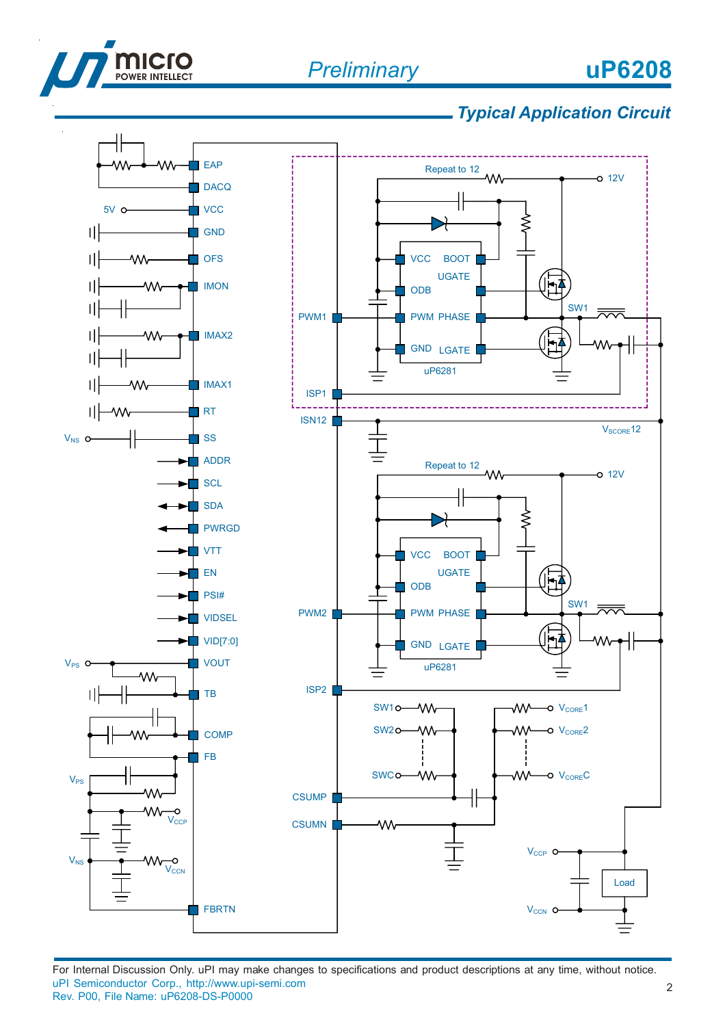

# **uP6208**



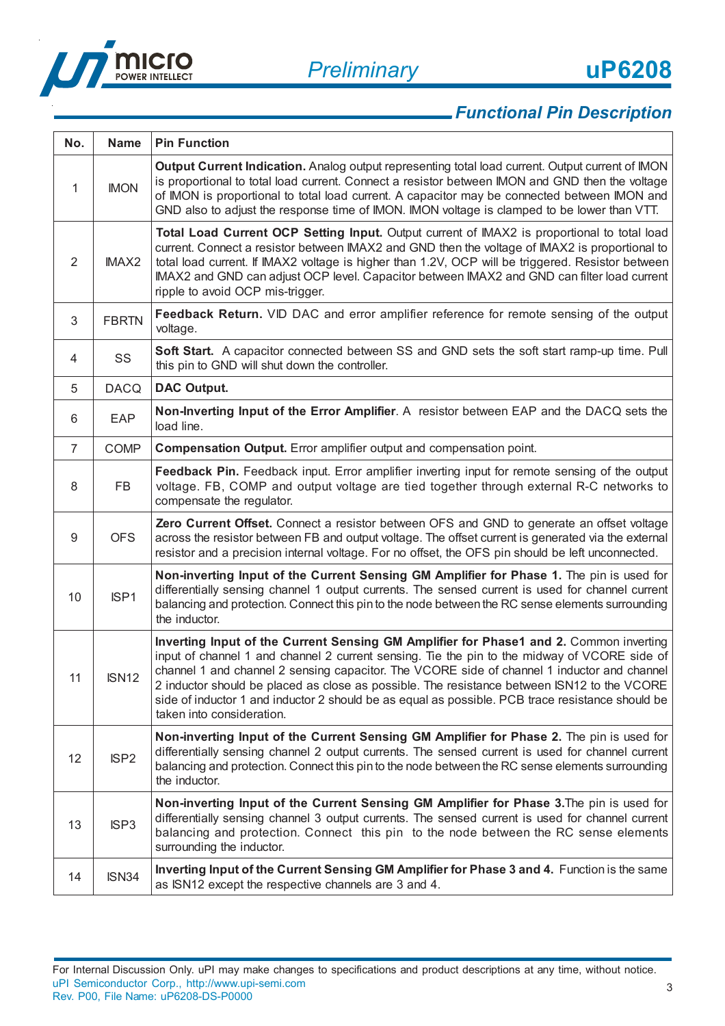

| No.            | <b>Name</b>      | <b>Pin Function</b>                                                                                                                                                                                                                                                                                                                                                                                                                                                                                                   |
|----------------|------------------|-----------------------------------------------------------------------------------------------------------------------------------------------------------------------------------------------------------------------------------------------------------------------------------------------------------------------------------------------------------------------------------------------------------------------------------------------------------------------------------------------------------------------|
| 1              | <b>IMON</b>      | Output Current Indication. Analog output representing total load current. Output current of IMON<br>is proportional to total load current. Connect a resistor between IMON and GND then the voltage<br>of IMON is proportional to total load current. A capacitor may be connected between IMON and<br>GND also to adjust the response time of IMON. IMON voltage is clamped to be lower than VTT.                                                                                                                    |
| $\overline{2}$ | <b>IMAX2</b>     | Total Load Current OCP Setting Input. Output current of IMAX2 is proportional to total load<br>current. Connect a resistor between IMAX2 and GND then the voltage of IMAX2 is proportional to<br>total load current. If IMAX2 voltage is higher than 1.2V, OCP will be triggered. Resistor between<br>IMAX2 and GND can adjust OCP level. Capacitor between IMAX2 and GND can filter load current<br>ripple to avoid OCP mis-trigger.                                                                                 |
| 3              | <b>FBRTN</b>     | Feedback Return. VID DAC and error amplifier reference for remote sensing of the output<br>voltage.                                                                                                                                                                                                                                                                                                                                                                                                                   |
| 4              | SS               | Soft Start. A capacitor connected between SS and GND sets the soft start ramp-up time. Pull<br>this pin to GND will shut down the controller.                                                                                                                                                                                                                                                                                                                                                                         |
| 5              | <b>DACQ</b>      | <b>DAC Output.</b>                                                                                                                                                                                                                                                                                                                                                                                                                                                                                                    |
| 6              | <b>EAP</b>       | Non-Inverting Input of the Error Amplifier. A resistor between EAP and the DACQ sets the<br>load line.                                                                                                                                                                                                                                                                                                                                                                                                                |
| $\overline{7}$ | <b>COMP</b>      | Compensation Output. Error amplifier output and compensation point.                                                                                                                                                                                                                                                                                                                                                                                                                                                   |
| 8              | FB               | Feedback Pin. Feedback input. Error amplifier inverting input for remote sensing of the output<br>voltage. FB, COMP and output voltage are tied together through external R-C networks to<br>compensate the regulator.                                                                                                                                                                                                                                                                                                |
| 9              | <b>OFS</b>       | Zero Current Offset. Connect a resistor between OFS and GND to generate an offset voltage<br>across the resistor between FB and output voltage. The offset current is generated via the external<br>resistor and a precision internal voltage. For no offset, the OFS pin should be left unconnected.                                                                                                                                                                                                                 |
| 10             | ISP1             | Non-inverting Input of the Current Sensing GM Amplifier for Phase 1. The pin is used for<br>differentially sensing channel 1 output currents. The sensed current is used for channel current<br>balancing and protection. Connect this pin to the node between the RC sense elements surrounding<br>the inductor.                                                                                                                                                                                                     |
| 11             | <b>ISN12</b>     | Inverting Input of the Current Sensing GM Amplifier for Phase1 and 2. Common inverting<br>input of channel 1 and channel 2 current sensing. Tie the pin to the midway of VCORE side of<br>channel 1 and channel 2 sensing capacitor. The VCORE side of channel 1 inductor and channel<br>2 inductor should be placed as close as possible. The resistance between ISN12 to the VCORE<br>side of inductor 1 and inductor 2 should be as equal as possible. PCB trace resistance should be<br>taken into consideration. |
| 12             | ISP <sub>2</sub> | Non-inverting Input of the Current Sensing GM Amplifier for Phase 2. The pin is used for<br>differentially sensing channel 2 output currents. The sensed current is used for channel current<br>balancing and protection. Connect this pin to the node between the RC sense elements surrounding<br>the inductor.                                                                                                                                                                                                     |
| 13             | ISP <sub>3</sub> | Non-inverting Input of the Current Sensing GM Amplifier for Phase 3. The pin is used for<br>differentially sensing channel 3 output currents. The sensed current is used for channel current<br>balancing and protection. Connect this pin to the node between the RC sense elements<br>surrounding the inductor.                                                                                                                                                                                                     |
| 14             | ISN34            | Inverting Input of the Current Sensing GM Amplifier for Phase 3 and 4. Function is the same<br>as ISN12 except the respective channels are 3 and 4.                                                                                                                                                                                                                                                                                                                                                                   |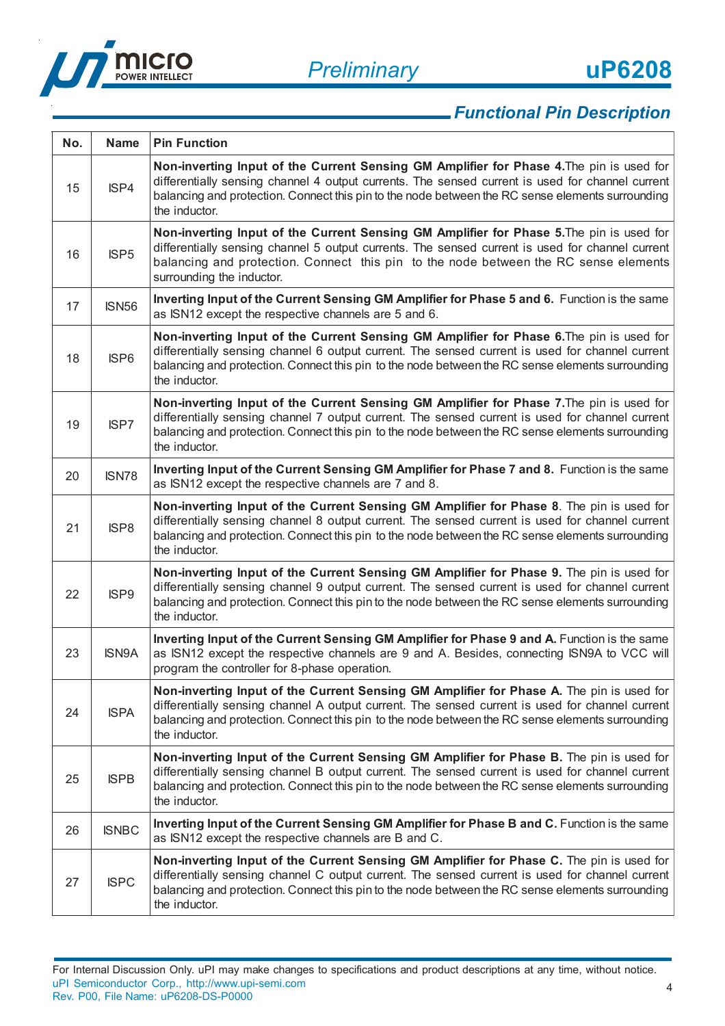



| No. | <b>Name</b>      | <b>Pin Function</b>                                                                                                                                                                                                                                                                                               |
|-----|------------------|-------------------------------------------------------------------------------------------------------------------------------------------------------------------------------------------------------------------------------------------------------------------------------------------------------------------|
| 15  | ISP4             | Non-inverting Input of the Current Sensing GM Amplifier for Phase 4. The pin is used for<br>differentially sensing channel 4 output currents. The sensed current is used for channel current<br>balancing and protection. Connect this pin to the node between the RC sense elements surrounding<br>the inductor. |
| 16  | ISP <sub>5</sub> | Non-inverting Input of the Current Sensing GM Amplifier for Phase 5. The pin is used for<br>differentially sensing channel 5 output currents. The sensed current is used for channel current<br>balancing and protection. Connect this pin to the node between the RC sense elements<br>surrounding the inductor. |
| 17  | <b>ISN56</b>     | Inverting Input of the Current Sensing GM Amplifier for Phase 5 and 6. Function is the same<br>as ISN12 except the respective channels are 5 and 6.                                                                                                                                                               |
| 18  | ISP <sub>6</sub> | Non-inverting Input of the Current Sensing GM Amplifier for Phase 6. The pin is used for<br>differentially sensing channel 6 output current. The sensed current is used for channel current<br>balancing and protection. Connect this pin to the node between the RC sense elements surrounding<br>the inductor.  |
| 19  | ISP7             | Non-inverting Input of the Current Sensing GM Amplifier for Phase 7. The pin is used for<br>differentially sensing channel 7 output current. The sensed current is used for channel current<br>balancing and protection. Connect this pin to the node between the RC sense elements surrounding<br>the inductor.  |
| 20  | ISN78            | Inverting Input of the Current Sensing GM Amplifier for Phase 7 and 8. Function is the same<br>as ISN12 except the respective channels are 7 and 8.                                                                                                                                                               |
| 21  | ISP8             | Non-inverting Input of the Current Sensing GM Amplifier for Phase 8. The pin is used for<br>differentially sensing channel 8 output current. The sensed current is used for channel current<br>balancing and protection. Connect this pin to the node between the RC sense elements surrounding<br>the inductor.  |
| 22  | ISP <sub>9</sub> | Non-inverting Input of the Current Sensing GM Amplifier for Phase 9. The pin is used for<br>differentially sensing channel 9 output current. The sensed current is used for channel current<br>balancing and protection. Connect this pin to the node between the RC sense elements surrounding<br>the inductor.  |
| 23  | <b>ISN9A</b>     | Inverting Input of the Current Sensing GM Amplifier for Phase 9 and A. Function is the same<br>as ISN12 except the respective channels are 9 and A. Besides, connecting ISN9A to VCC will<br>program the controller for 8-phase operation.                                                                        |
| 24  | <b>ISPA</b>      | Non-inverting Input of the Current Sensing GM Amplifier for Phase A. The pin is used for<br>differentially sensing channel A output current. The sensed current is used for channel current<br>balancing and protection. Connect this pin to the node between the RC sense elements surrounding<br>the inductor.  |
| 25  | <b>ISPB</b>      | Non-inverting Input of the Current Sensing GM Amplifier for Phase B. The pin is used for<br>differentially sensing channel B output current. The sensed current is used for channel current<br>balancing and protection. Connect this pin to the node between the RC sense elements surrounding<br>the inductor.  |
| 26  | <b>ISNBC</b>     | Inverting Input of the Current Sensing GM Amplifier for Phase B and C. Function is the same<br>as ISN12 except the respective channels are B and C.                                                                                                                                                               |
| 27  | <b>ISPC</b>      | Non-inverting Input of the Current Sensing GM Amplifier for Phase C. The pin is used for<br>differentially sensing channel C output current. The sensed current is used for channel current<br>balancing and protection. Connect this pin to the node between the RC sense elements surrounding<br>the inductor.  |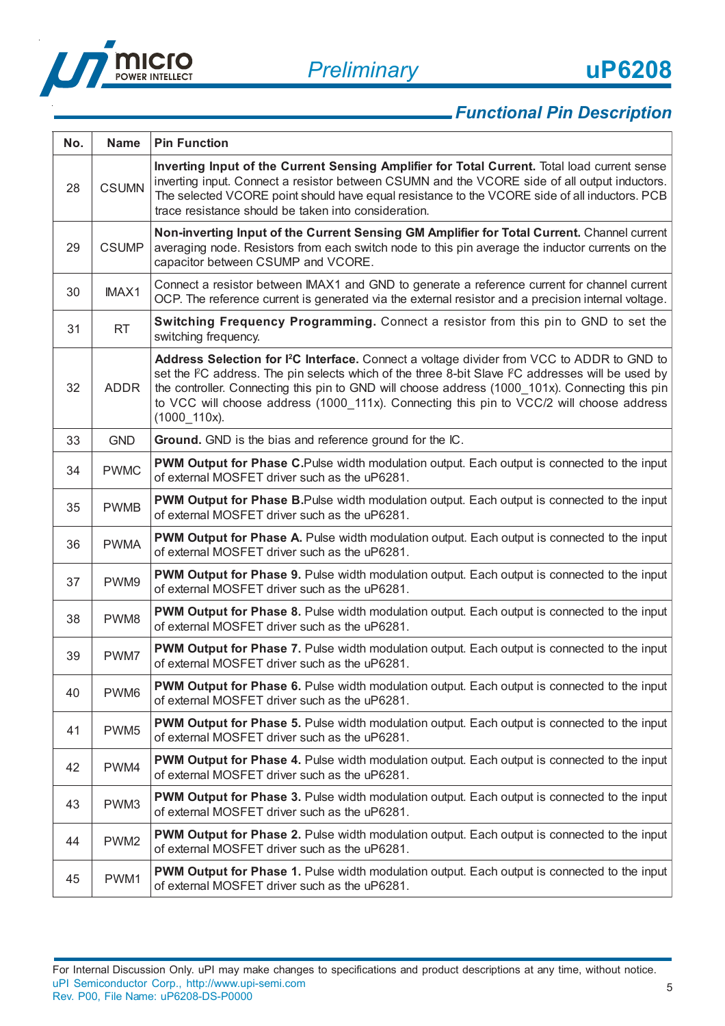



| No. | <b>Name</b>      | <b>Pin Function</b>                                                                                                                                                                                                                                                                                                                                                                                                         |
|-----|------------------|-----------------------------------------------------------------------------------------------------------------------------------------------------------------------------------------------------------------------------------------------------------------------------------------------------------------------------------------------------------------------------------------------------------------------------|
| 28  | <b>CSUMN</b>     | Inverting Input of the Current Sensing Amplifier for Total Current. Total load current sense<br>inverting input. Connect a resistor between CSUMN and the VCORE side of all output inductors.<br>The selected VCORE point should have equal resistance to the VCORE side of all inductors. PCB<br>trace resistance should be taken into consideration.                                                                      |
| 29  | <b>CSUMP</b>     | Non-inverting Input of the Current Sensing GM Amplifier for Total Current. Channel current<br>averaging node. Resistors from each switch node to this pin average the inductor currents on the<br>capacitor between CSUMP and VCORE.                                                                                                                                                                                        |
| 30  | IMAX1            | Connect a resistor between IMAX1 and GND to generate a reference current for channel current<br>OCP. The reference current is generated via the external resistor and a precision internal voltage.                                                                                                                                                                                                                         |
| 31  | <b>RT</b>        | Switching Frequency Programming. Connect a resistor from this pin to GND to set the<br>switching frequency.                                                                                                                                                                                                                                                                                                                 |
| 32  | <b>ADDR</b>      | Address Selection for I <sup>2</sup> C Interface. Connect a voltage divider from VCC to ADDR to GND to<br>set the FC address. The pin selects which of the three 8-bit Slave FC addresses will be used by<br>the controller. Connecting this pin to GND will choose address (1000_101x). Connecting this pin<br>to VCC will choose address (1000_111x). Connecting this pin to VCC/2 will choose address<br>$(1000\_110x).$ |
| 33  | <b>GND</b>       | Ground. GND is the bias and reference ground for the IC.                                                                                                                                                                                                                                                                                                                                                                    |
| 34  | <b>PWMC</b>      | PWM Output for Phase C.Pulse width modulation output. Each output is connected to the input<br>of external MOSFET driver such as the uP6281.                                                                                                                                                                                                                                                                                |
| 35  | <b>PWMB</b>      | PWM Output for Phase B.Pulse width modulation output. Each output is connected to the input<br>of external MOSFET driver such as the uP6281.                                                                                                                                                                                                                                                                                |
| 36  | <b>PWMA</b>      | <b>PWM Output for Phase A.</b> Pulse width modulation output. Each output is connected to the input<br>of external MOSFET driver such as the uP6281.                                                                                                                                                                                                                                                                        |
| 37  | PWM9             | <b>PWM Output for Phase 9.</b> Pulse width modulation output. Each output is connected to the input<br>of external MOSFET driver such as the uP6281.                                                                                                                                                                                                                                                                        |
| 38  | PWM8             | <b>PWM Output for Phase 8.</b> Pulse width modulation output. Each output is connected to the input<br>of external MOSFET driver such as the uP6281.                                                                                                                                                                                                                                                                        |
| 39  | PWM7             | <b>PWM Output for Phase 7.</b> Pulse width modulation output. Each output is connected to the input<br>of external MOSFET driver such as the uP6281.                                                                                                                                                                                                                                                                        |
| 40  | PWM6             | PWM Output for Phase 6. Pulse width modulation output. Each output is connected to the input<br>of external MOSFET driver such as the uP6281.                                                                                                                                                                                                                                                                               |
| 41  | PWM <sub>5</sub> | <b>PWM Output for Phase 5.</b> Pulse width modulation output. Each output is connected to the input<br>of external MOSFET driver such as the uP6281.                                                                                                                                                                                                                                                                        |
| 42  | PWM4             | PWM Output for Phase 4. Pulse width modulation output. Each output is connected to the input<br>of external MOSFET driver such as the uP6281.                                                                                                                                                                                                                                                                               |
| 43  | PWM3             | <b>PWM Output for Phase 3. Pulse width modulation output. Each output is connected to the input</b><br>of external MOSFET driver such as the uP6281.                                                                                                                                                                                                                                                                        |
| 44  | PWM <sub>2</sub> | <b>PWM Output for Phase 2.</b> Pulse width modulation output. Each output is connected to the input<br>of external MOSFET driver such as the uP6281.                                                                                                                                                                                                                                                                        |
| 45  | PWM1             | <b>PWM Output for Phase 1.</b> Pulse width modulation output. Each output is connected to the input<br>of external MOSFET driver such as the uP6281.                                                                                                                                                                                                                                                                        |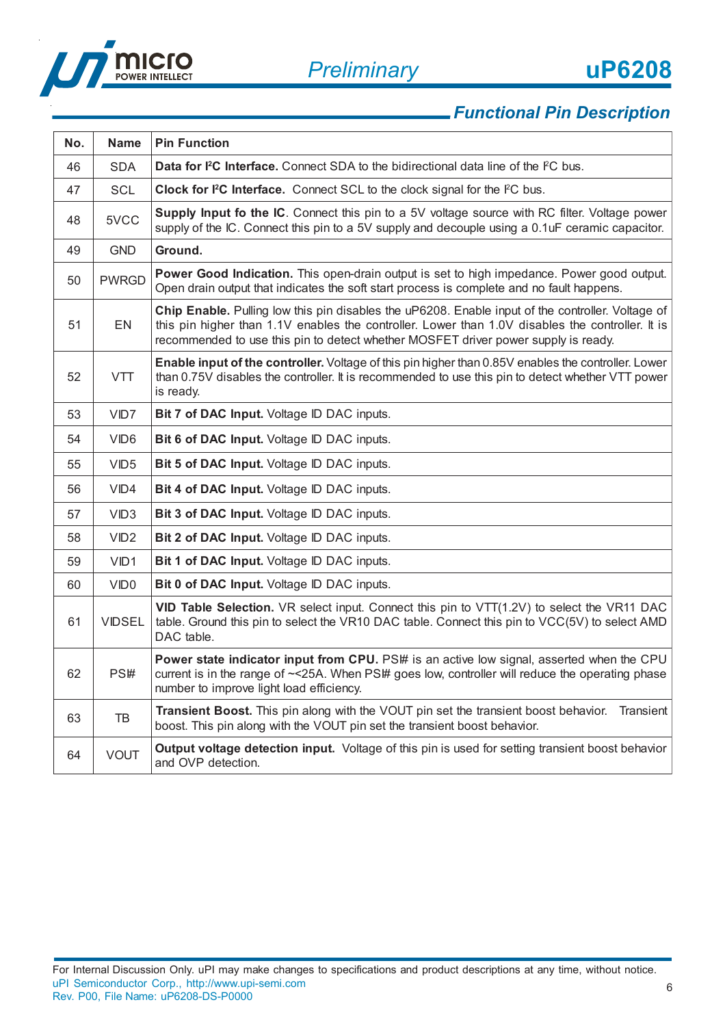

| No. | <b>Name</b>      | <b>Pin Function</b>                                                                                                                                                                                                                                                                         |
|-----|------------------|---------------------------------------------------------------------------------------------------------------------------------------------------------------------------------------------------------------------------------------------------------------------------------------------|
| 46  | <b>SDA</b>       | Data for <sup>2</sup> C Interface. Connect SDA to the bidirectional data line of the <sup>P</sup> C bus.                                                                                                                                                                                    |
| 47  | <b>SCL</b>       | Clock for I <sup>2</sup> C Interface. Connect SCL to the clock signal for the I <sup>2</sup> C bus.                                                                                                                                                                                         |
| 48  | 5VCC             | <b>Supply Input fo the IC.</b> Connect this pin to a 5V voltage source with RC filter. Voltage power<br>supply of the IC. Connect this pin to a 5V supply and decouple using a 0.1uF ceramic capacitor.                                                                                     |
| 49  | <b>GND</b>       | Ground.                                                                                                                                                                                                                                                                                     |
| 50  | <b>PWRGD</b>     | Power Good Indication. This open-drain output is set to high impedance. Power good output.<br>Open drain output that indicates the soft start process is complete and no fault happens.                                                                                                     |
| 51  | EN               | Chip Enable. Pulling low this pin disables the uP6208. Enable input of the controller. Voltage of<br>this pin higher than 1.1V enables the controller. Lower than 1.0V disables the controller. It is<br>recommended to use this pin to detect whether MOSFET driver power supply is ready. |
| 52  | <b>VTT</b>       | Enable input of the controller. Voltage of this pin higher than 0.85V enables the controller. Lower<br>than 0.75V disables the controller. It is recommended to use this pin to detect whether VTT power<br>is ready.                                                                       |
| 53  | VID7             | Bit 7 of DAC Input. Voltage ID DAC inputs.                                                                                                                                                                                                                                                  |
| 54  | VID <sub>6</sub> | Bit 6 of DAC Input. Voltage ID DAC inputs.                                                                                                                                                                                                                                                  |
| 55  | VID5             | Bit 5 of DAC Input. Voltage ID DAC inputs.                                                                                                                                                                                                                                                  |
| 56  | VID4             | Bit 4 of DAC Input. Voltage ID DAC inputs.                                                                                                                                                                                                                                                  |
| 57  | VID <sub>3</sub> | Bit 3 of DAC Input. Voltage ID DAC inputs.                                                                                                                                                                                                                                                  |
| 58  | VID <sub>2</sub> | Bit 2 of DAC Input. Voltage ID DAC inputs.                                                                                                                                                                                                                                                  |
| 59  | VID1             | Bit 1 of DAC Input. Voltage ID DAC inputs.                                                                                                                                                                                                                                                  |
| 60  | VID <sub>0</sub> | Bit 0 of DAC Input. Voltage ID DAC inputs.                                                                                                                                                                                                                                                  |
| 61  | <b>VIDSEL</b>    | VID Table Selection. VR select input. Connect this pin to VTT(1.2V) to select the VR11 DAC<br>table. Ground this pin to select the VR10 DAC table. Connect this pin to VCC(5V) to select AMD<br>DAC table.                                                                                  |
| 62  | PS#              | Power state indicator input from CPU. PS\# is an active low signal, asserted when the CPU<br>current is in the range of ~< 25A. When PS# goes low, controller will reduce the operating phase<br>number to improve light load efficiency.                                                   |
| 63  | TB               | Transient Boost. This pin along with the VOUT pin set the transient boost behavior.<br>Transient<br>boost. This pin along with the VOUT pin set the transient boost behavior.                                                                                                               |
| 64  | <b>VOUT</b>      | <b>Output voltage detection input.</b> Voltage of this pin is used for setting transient boost behavior<br>and OVP detection.                                                                                                                                                               |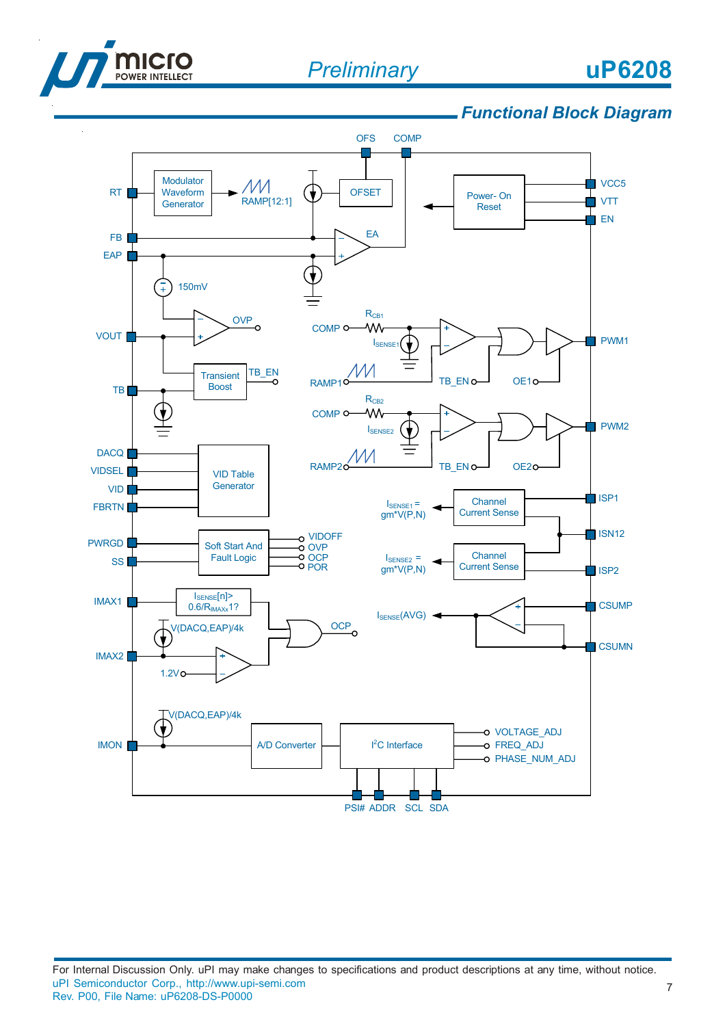

# **uP6208**

### *Functional Block Diagram*

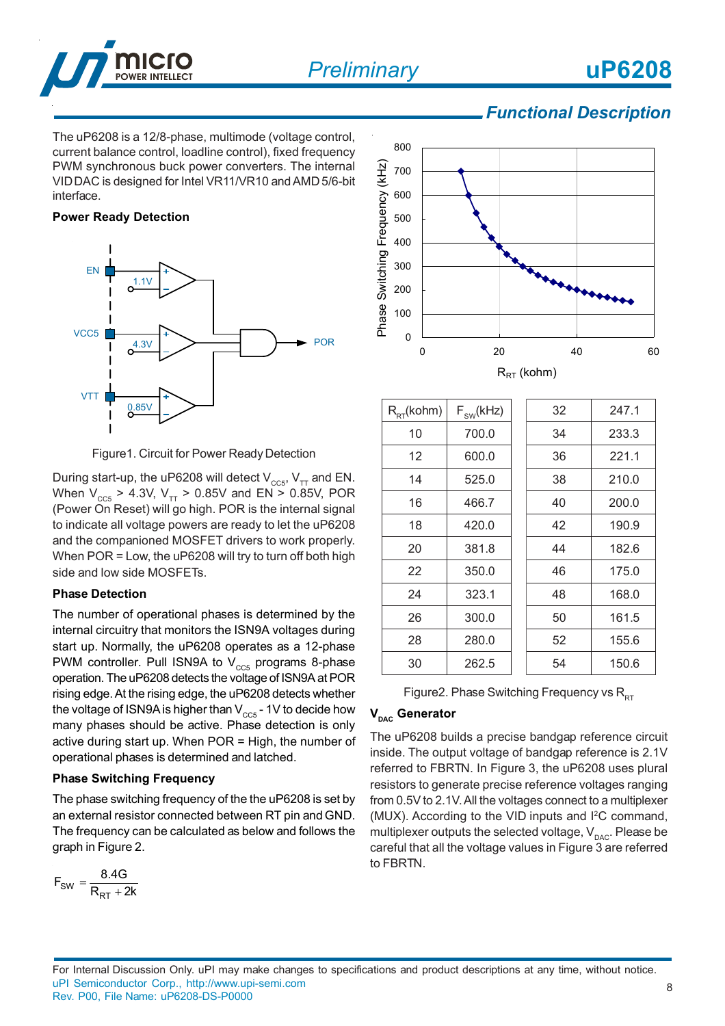

The uP6208 is a 12/8-phase, multimode (voltage control, current balance control, loadline control), fixed frequency PWM synchronous buck power converters. The internal VID DAC is designed for Intel VR11/VR10 and AMD 5/6-bit interface.

#### **Power Ready Detection**



Figure1. Circuit for Power Ready Detection

During start-up, the uP6208 will detect  $V_{CC5}$ ,  $V_{TT}$  and EN. When  $V_{CC5}$  > 4.3V,  $V_{TT}$  > 0.85V and EN > 0.85V, POR (Power On Reset) will go high. POR is the internal signal to indicate all voltage powers are ready to let the uP6208 and the companioned MOSFET drivers to work properly. When POR = Low, the uP6208 will try to turn off both high side and low side MOSFETs.

#### **Phase Detection**

The number of operational phases is determined by the internal circuitry that monitors the ISN9A voltages during start up. Normally, the uP6208 operates as a 12-phase PWM controller. Pull ISN9A to  $V_{cc5}$  programs 8-phase operation. The uP6208 detects the voltage of ISN9A at POR rising edge. At the rising edge, the uP6208 detects whether the voltage of ISN9A is higher than  $V_{\text{ccs}}$  - 1V to decide how many phases should be active. Phase detection is only active during start up. When POR = High, the number of operational phases is determined and latched.

#### **Phase Switching Frequency**

The phase switching frequency of the the uP6208 is set by an external resistor connected between RT pin and GND. The frequency can be calculated as below and follows the graph in Figure 2.

$$
F_{SW} = \frac{8.4G}{R_{RT} + 2k}
$$



| $R_{RT}$ (kohm) | $F_{SW}$ (kHz) | 32 | 247.1 |
|-----------------|----------------|----|-------|
| 10              | 700.0          | 34 | 233.3 |
| 12              | 600.0          | 36 | 221.1 |
| 14              | 525.0          | 38 | 210.0 |
| 16              | 466.7          | 40 | 200.0 |
| 18              | 420.0          | 42 | 190.9 |
| 20              | 381.8          | 44 | 182.6 |
| 22              | 350.0          | 46 | 175.0 |
| 24              | 323.1          | 48 | 168.0 |
| 26              | 300.0          | 50 | 161.5 |
| 28              | 280.0          | 52 | 155.6 |
| 30              | 262.5          | 54 | 150.6 |

Figure2. Phase Switching Frequency vs  $R_{RT}$ 

#### **V<sub>DAC</sub>** Generator

The uP6208 builds a precise bandgap reference circuit inside. The output voltage of bandgap reference is 2.1V referred to FBRTN. In Figure 3, the uP6208 uses plural resistors to generate precise reference voltages ranging from 0.5V to 2.1V. All the voltages connect to a multiplexer (MUX). According to the VID inputs and I2C command, multiplexer outputs the selected voltage,  $V_{\text{p}a\text{c}}$ . Please be careful that all the voltage values in Figure 3 are referred to FBRTN.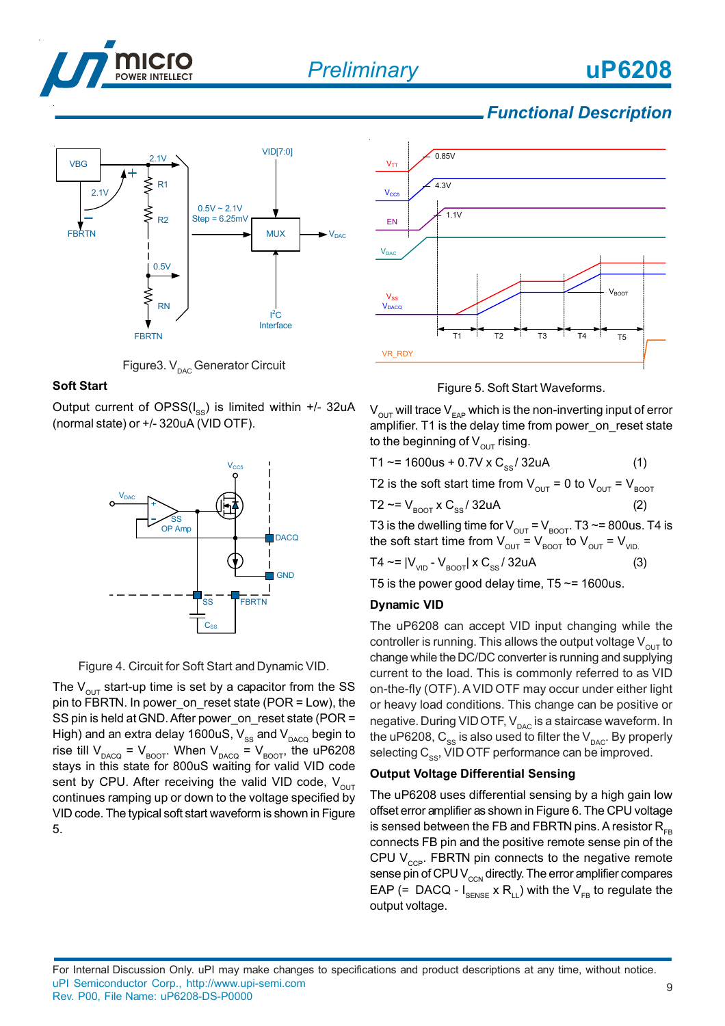



Figure3.  $V_{\text{pAC}}$  Generator Circuit

#### **Soft Start**

Output current of  $OPSS(I_{\infty})$  is limited within +/- 32uA (normal state) or +/- 320uA (VID OTF).



Figure 4. Circuit for Soft Start and Dynamic VID.

The  $V_{\text{out}}$  start-up time is set by a capacitor from the SS pin to FBRTN. In power\_on\_reset state (POR = Low), the SS pin is held at GND. After power\_on\_reset state (POR = High) and an extra delay 1600uS,  $V_{\rm ss}$  and  $V_{\rm DACQ}$  begin to rise till  $V_{DACQ} = V_{BOOT}$ . When  $V_{DACQ} = V_{BOOT}$ , the uP6208 stays in this state for 800uS waiting for valid VID code sent by CPU. After receiving the valid VID code,  $V_{OUT}$ continues ramping up or down to the voltage specified by VID code. The typical soft start waveform is shown in Figure 5.





 $V_{\text{OUT}}$  will trace  $V_{\text{EAP}}$  which is the non-inverting input of error amplifier. T1 is the delay time from power\_on\_reset state to the beginning of  $V_{\text{out}}$  rising.

$$
T1 \sim 1600us + 0.7V \times C_{ss} / 32uA
$$
 (1)

T2 is the soft start time from  $V_{\text{out}} = 0$  to  $V_{\text{out}} = V_{\text{foot}}$ 

$$
T2 \sim = V_{\text{foot}} \times C_{\text{ss}} / 32 \text{uA}
$$
 (2)

T3 is the dwelling time for  $V_{OUT} = V_{BOOT}$ . T3 ~= 800us. T4 is the soft start time from  $V_{\text{OUT}} = V_{\text{ROT}}$  to  $V_{\text{OUT}} = V_{\text{VID}}$ 

$$
T4 \sim = |V_{\text{VID}} - V_{\text{BOOT}}| \times C_{\text{SS}} / 32 \text{uA}
$$
 (3)

T5 is the power good delay time,  $T5 \approx 1600$ us.

#### **Dynamic VID**

The uP6208 can accept VID input changing while the controller is running. This allows the output voltage  $V_{\text{out}}$  to change while the DC/DC converter is running and supplying current to the load. This is commonly referred to as VID on-the-fly (OTF). A VID OTF may occur under either light or heavy load conditions. This change can be positive or negative. During VID OTF,  $V_{\text{pAC}}$  is a staircase waveform. In the uP6208,  $C_{ss}$  is also used to filter the  $V_{DAC}$ . By properly selecting  $C_{\infty}$ , VID OTF performance can be improved.

#### **Output Voltage Differential Sensing**

The uP6208 uses differential sensing by a high gain low offset error amplifier as shown in Figure 6. The CPU voltage is sensed between the FB and FBRTN pins. A resistor  $R_{FB}$ connects FB pin and the positive remote sense pin of the CPU  $V_{\text{CCP}}$ . FBRTN pin connects to the negative remote sense pin of CPU  $V_{\text{ccN}}$  directly. The error amplifier compares EAP (= DACQ -  $I_{\text{SENSE}} \times R_{\text{L}}$ ) with the  $V_{\text{FR}}$  to regulate the output voltage.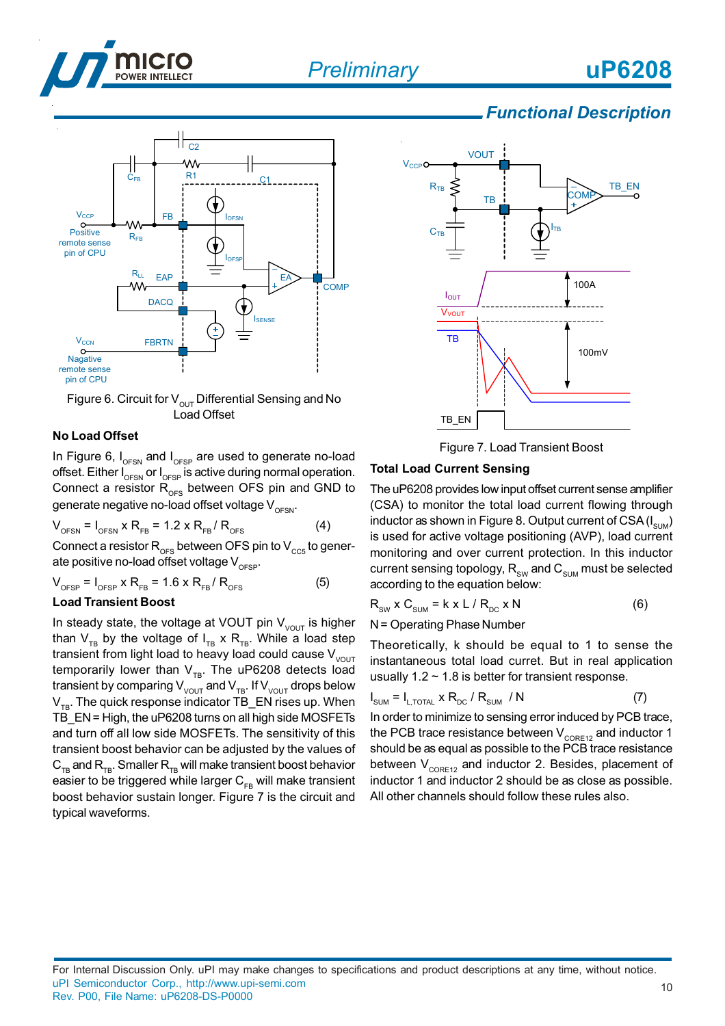



Figure 6. Circuit for  $V_{\text{OUT}}$  Differential Sensing and No Load Offset

#### **No Load Offset**

In Figure 6,  $I_{\text{OFSN}}$  and  $I_{\text{OFSP}}$  are used to generate no-load offset. Either  $I_{\text{OFSN}}$  or  $I_{\text{OFSP}}$  is active during normal operation. Connect a resistor  $R_{OFS}$  between OFS pin and GND to generate negative no-load offset voltage  $V_{\text{OESN}}$ .

$$
V_{\text{OFSN}} = I_{\text{OFSN}} \times R_{\text{FB}} = 1.2 \times R_{\text{FB}} / R_{\text{OFS}}
$$
 (4)

Connect a resistor  $R_{\text{OFS}}$  between OFS pin to  $V_{\text{CC5}}$  to generate positive no-load offset voltage  $V_{\text{ocsp}}$ .

$$
V_{\text{OFSP}} = I_{\text{OFSP}} \times R_{\text{FB}} = 1.6 \times R_{\text{FB}} / R_{\text{OFS}}
$$
 (5)

#### **Load Transient Boost**

In steady state, the voltage at VOUT pin  $V_{V^{\text{OUT}}}$  is higher than  $V_{TB}$  by the voltage of  $I_{TB} \times R_{TB}$ . While a load step transient from light load to heavy load could cause  $V_{V^{\text{OUT}}}$ temporarily lower than  $V_{TB}$ . The uP6208 detects load transient by comparing  $V_{\text{VOUT}}$  and  $V_{\text{TB}}$ . If  $V_{\text{VOUT}}$  drops below  $V_{TR}$ . The quick response indicator TB\_EN rises up. When TB EN = High, the uP6208 turns on all high side MOSFETs and turn off all low side MOSFETs. The sensitivity of this transient boost behavior can be adjusted by the values of  $C_{TR}$  and  $R_{TR}$ . Smaller  $R_{TR}$  will make transient boost behavior easier to be triggered while larger  $C_{FB}$  will make transient boost behavior sustain longer. Figure 7 is the circuit and typical waveforms.



Figure 7. Load Transient Boost

#### **Total Load Current Sensing**

The uP6208 provides low input offset current sense amplifier (CSA) to monitor the total load current flowing through inductor as shown in Figure 8. Output current of CSA  $(I_{\text{SIM}})$ is used for active voltage positioning (AVP), load current monitoring and over current protection. In this inductor current sensing topology,  $R_{\text{SW}}$  and  $C_{\text{SUM}}$  must be selected according to the equation below:

$$
R_{\text{SW}} \times C_{\text{SUM}} = k \times L / R_{\text{DC}} \times N \tag{6}
$$

N = Operating Phase Number

Theoretically, k should be equal to 1 to sense the instantaneous total load curret. But in real application usually  $1.2 \sim 1.8$  is better for transient response.

$$
I_{\text{SUM}} = I_{L, \text{total}} \times R_{\text{DC}} / R_{\text{SUM}} / N \tag{7}
$$

In order to minimize to sensing error induced by PCB trace, the PCB trace resistance between  $V_{\text{CORE12}}$  and inductor 1 should be as equal as possible to the PCB trace resistance between  $V_{\text{CORE12}}$  and inductor 2. Besides, placement of inductor 1 and inductor 2 should be as close as possible. All other channels should follow these rules also.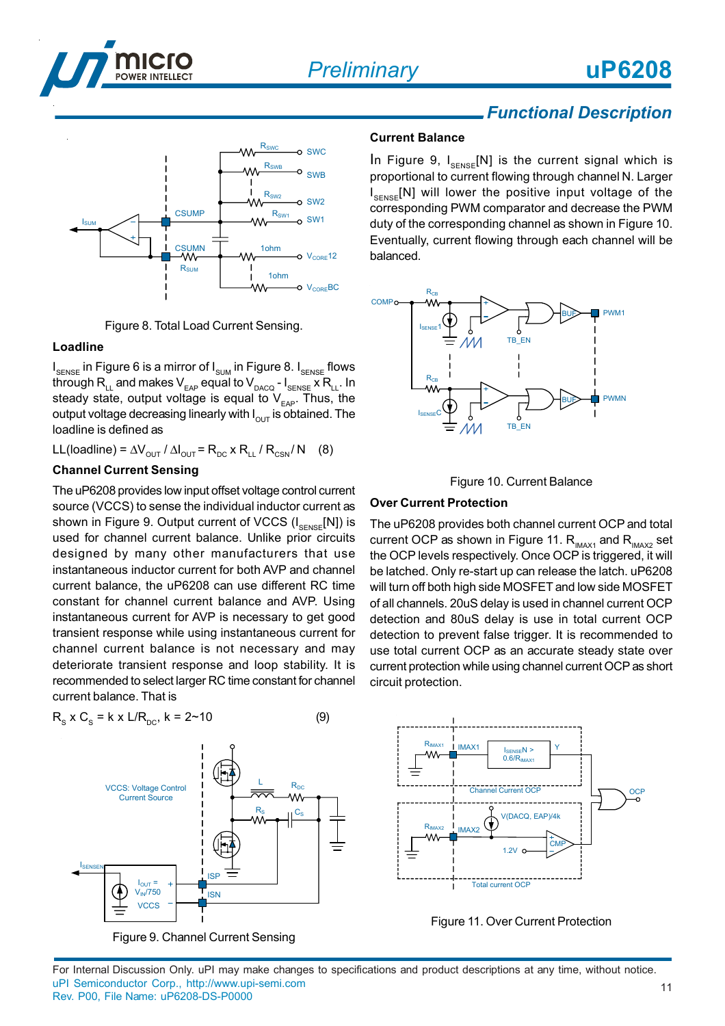





#### **Loadline**

I<sub>SENSE</sub> in Figure 6 is a mirror of I<sub>sum</sub> in Figure 8. I<sub>SENSE</sub> flows through  $R_{LL}^T$  and makes  $V_{EAP}^T$  equal to  $V_{DACQ}$  -  $I_{SENSE}$  x  $R_{LL}$ . In steady state, output voltage is equal to  $V_{EAP}$ . Thus, the output voltage decreasing linearly with  $I_{\text{OUT}}$  is obtained. The loadline is defined as

LL(loadline) =  $\Delta V_{\text{OUT}}$  /  $\Delta I_{\text{OUT}}$  =  $R_{\text{DC}}$  x  $R_{\text{LL}}$  /  $R_{\text{CSN}}$ / N (8)

#### **Channel Current Sensing**

The uP6208 provides low input offset voltage control current source (VCCS) to sense the individual inductor current as shown in Figure 9. Output current of VCCS  $(I_{\text{SENSE}}[N])$  is used for channel current balance. Unlike prior circuits designed by many other manufacturers that use instantaneous inductor current for both AVP and channel current balance, the uP6208 can use different RC time constant for channel current balance and AVP. Using instantaneous current for AVP is necessary to get good transient response while using instantaneous current for channel current balance is not necessary and may deteriorate transient response and loop stability. It is recommended to select larger RC time constant for channel current balance. That is



Figure 9. Channel Current Sensing

### *Functional Description*

**uP6208**

#### **Current Balance**

In Figure 9,  $I_{\text{SENSE}}[N]$  is the current signal which is proportional to current flowing through channel N. Larger I<sub>SENSE</sub>[N] will lower the positive input voltage of the corresponding PWM comparator and decrease the PWM duty of the corresponding channel as shown in Figure 10. Eventually, current flowing through each channel will be balanced.





#### **Over Current Protection**

The uP6208 provides both channel current OCP and total current OCP as shown in Figure 11.  $R_{\text{IMAX1}}$  and  $R_{\text{IMAX2}}$  set the OCP levels respectively. Once OCP is triggered, it will be latched. Only re-start up can release the latch. uP6208 will turn off both high side MOSFET and low side MOSFET of all channels. 20uS delay is used in channel current OCP detection and 80uS delay is use in total current OCP detection to prevent false trigger. It is recommended to use total current OCP as an accurate steady state over current protection while using channel current OCP as short circuit protection.



Figure 11. Over Current Protection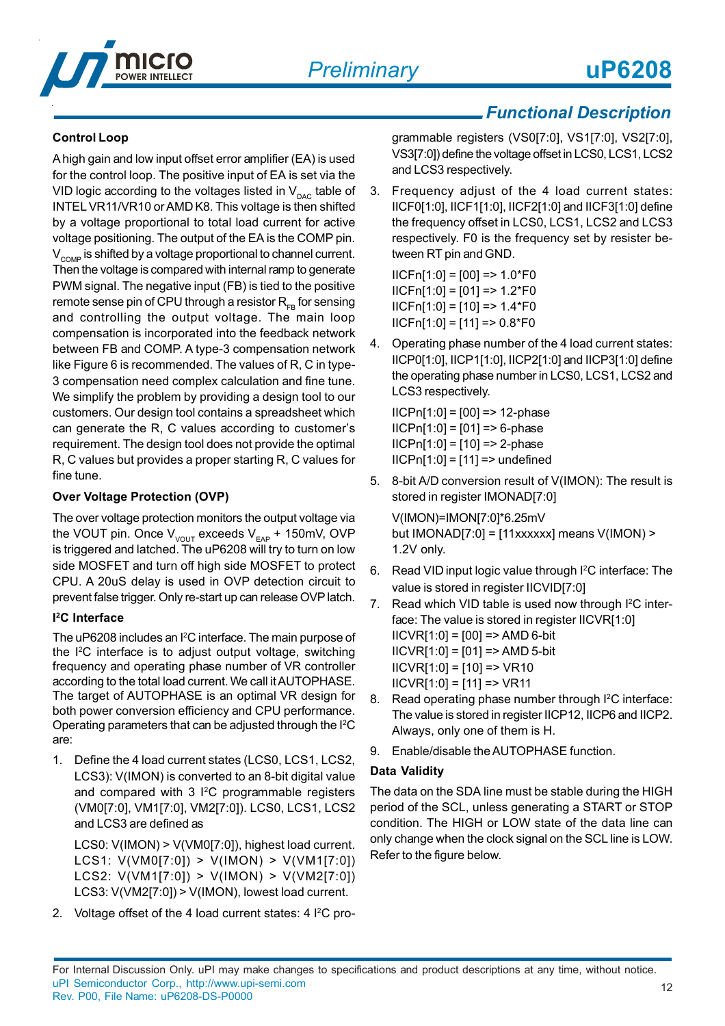

#### **Control Loop**

A high gain and low input offset error amplifier (EA) is used for the control loop. The positive input of EA is set via the VID logic according to the voltages listed in  $V_{\text{pAC}}$  table of INTEL VR11/VR10 or AMD K8. This voltage is then shifted by a voltage proportional to total load current for active voltage positioning. The output of the EA is the COMP pin.  $V<sub>COMP</sub>$  is shifted by a voltage proportional to channel current. Then the voltage is compared with internal ramp to generate PWM signal. The negative input (FB) is tied to the positive remote sense pin of CPU through a resistor  $R_{FB}$  for sensing and controlling the output voltage. The main loop compensation is incorporated into the feedback network between FB and COMP. A type-3 compensation network like Figure 6 is recommended. The values of R, C in type-3 compensation need complex calculation and fine tune. We simplify the problem by providing a design tool to our customers. Our design tool contains a spreadsheet which can generate the R, C values according to customer's requirement. The design tool does not provide the optimal R, C values but provides a proper starting R, C values for fine tune.

#### **Over Voltage Protection (OVP)**

The over voltage protection monitors the output voltage via the VOUT pin. Once  $V_{VOUT}$  exceeds  $V_{EAP}$  + 150mV, OVP is triggered and latched. The uP6208 will try to turn on low side MOSFET and turn off high side MOSFET to protect CPU. A 20uS delay is used in OVP detection circuit to prevent false trigger. Only re-start up can release OVP latch.

#### **I 2C Interface**

The uP6208 includes an I<sup>2</sup>C interface. The main purpose of the I2 C interface is to adjust output voltage, switching frequency and operating phase number of VR controller according to the total load current. We call it AUTOPHASE. The target of AUTOPHASE is an optimal VR design for both power conversion efficiency and CPU performance. Operating parameters that can be adjusted through the I<sup>2</sup>C are:

1. Define the 4 load current states (LCS0, LCS1, LCS2, LCS3): V(IMON) is converted to an 8-bit digital value and compared with 3 I<sup>2</sup>C programmable registers (VM0[7:0], VM1[7:0], VM2[7:0]). LCS0, LCS1, LCS2 and LCS3 are defined as

LCS0: V(IMON) > V(VM0[7:0]), highest load current. LCS1: V(VM0[7:0]) > V(IMON) > V(VM1[7:0]) LCS2: V(VM1[7:0]) > V(IMON) > V(VM2[7:0]) LCS3: V(VM2[7:0]) > V(IMON), lowest load current.

2. Voltage offset of the 4 load current states: 4 I<sup>2</sup>C pro-

### *Functional Description*

grammable registers (VS0[7:0], VS1[7:0], VS2[7:0], VS3[7:0]) define the voltage offset in LCS0, LCS1, LCS2 and LCS3 respectively.

3. Frequency adjust of the 4 load current states: IICF0[1:0], IICF1[1:0], IICF2[1:0] and IICF3[1:0] define the frequency offset in LCS0, LCS1, LCS2 and LCS3 respectively. F0 is the frequency set by resister between RT pin and GND.

 $IICFn[1:0] = [00] = 1.0*F0$  $IICFn[1:0] = [01] = 1.2*F0$  $IICFn[1:0] = [10] = > 1.4*FO$  $IICFn[1:0] = [11] = 0.8*F0$ 

4. Operating phase number of the 4 load current states: IICP0[1:0], IICP1[1:0], IICP2[1:0] and IICP3[1:0] define the operating phase number in LCS0, LCS1, LCS2 and LCS3 respectively.

 $IICPn[1:0] = [00] = > 12$ -phase  $IICPn[1:0] = [01] = 6$ -phase  $IICPn[1:0] = [10] = > 2$ -phase  $IICPn[1:0] = [11] = \gt{undefined}$ 

5. 8-bit A/D conversion result of V(IMON): The result is stored in register IMONAD[7:0]

V(IMON)=IMON[7:0]\*6.25mV but  $IMONAD[7:0] = [11xxxxx]$  means  $V(IMON)$  > 1.2V only.

- 6. Read VID input logic value through I2C interface: The value is stored in register IICVID[7:0]
- 7. Read which VID table is used now through I<sup>2</sup>C interface: The value is stored in register IICVR[1:0]  $IICVR[1:0] = [00] => AMD 6-bit$  $IICVR[1:0] = [01]$  => AMD 5-bit  $IICVR[1:0] = [10] = > VR10$  $IICVR[1:0] = [11] = > VR11$
- 8. Read operating phase number through I<sup>2</sup>C interface: The value is stored in register IICP12, IICP6 and IICP2. Always, only one of them is H.
- 9. Enable/disable the AUTOPHASE function.

#### **Data Validity**

The data on the SDA line must be stable during the HIGH period of the SCL, unless generating a START or STOP condition. The HIGH or LOW state of the data line can only change when the clock signal on the SCL line is LOW. Refer to the figure below.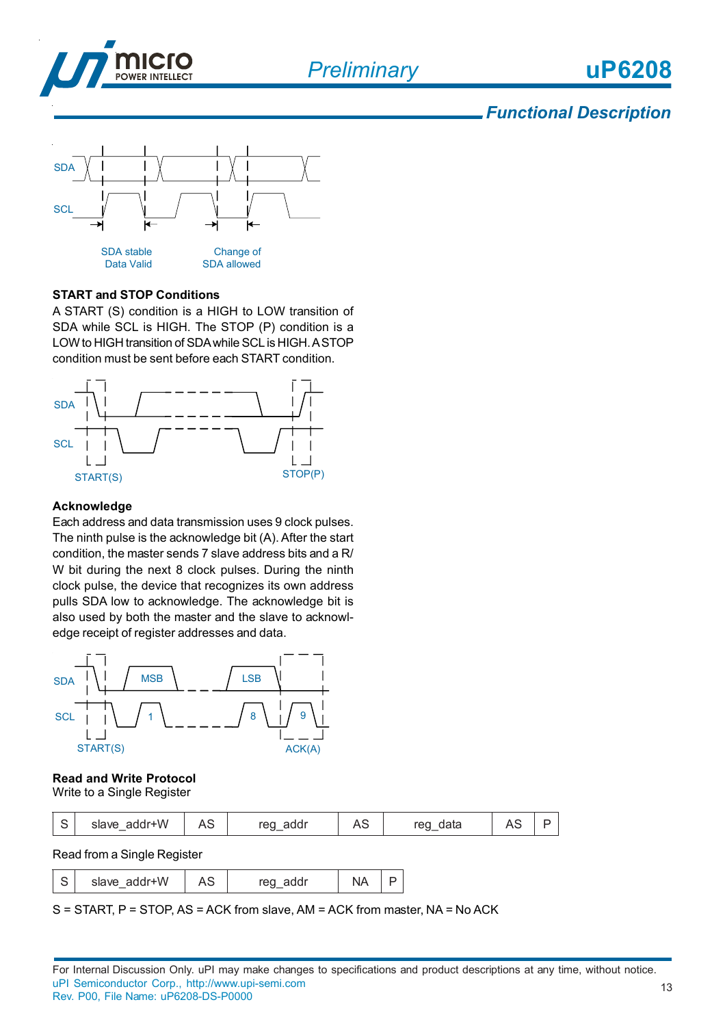*Preliminary*



### *Functional Description*



#### **START and STOP Conditions**

A START (S) condition is a HIGH to LOW transition of SDA while SCL is HIGH. The STOP (P) condition is a LOW to HIGH transition of SDA while SCL is HIGH. A STOP condition must be sent before each START condition.



#### **Acknowledge**

Each address and data transmission uses 9 clock pulses. The ninth pulse is the acknowledge bit (A). After the start condition, the master sends 7 slave address bits and a R/ W bit during the next 8 clock pulses. During the ninth clock pulse, the device that recognizes its own address pulls SDA low to acknowledge. The acknowledge bit is also used by both the master and the slave to acknowledge receipt of register addresses and data.



#### **Read and Write Protocol** Write to a Single Register

| $\sim$<br>ٮ | slave addr+W |  | $r \cap \Omega$<br>aaal |  | ren.<br>data |  |  |
|-------------|--------------|--|-------------------------|--|--------------|--|--|
|-------------|--------------|--|-------------------------|--|--------------|--|--|

Read from a Single Register

| $\sim$<br>└ |  |  |  |  |  |
|-------------|--|--|--|--|--|
|-------------|--|--|--|--|--|

S = START, P = STOP, AS = ACK from slave, AM = ACK from master, NA = No ACK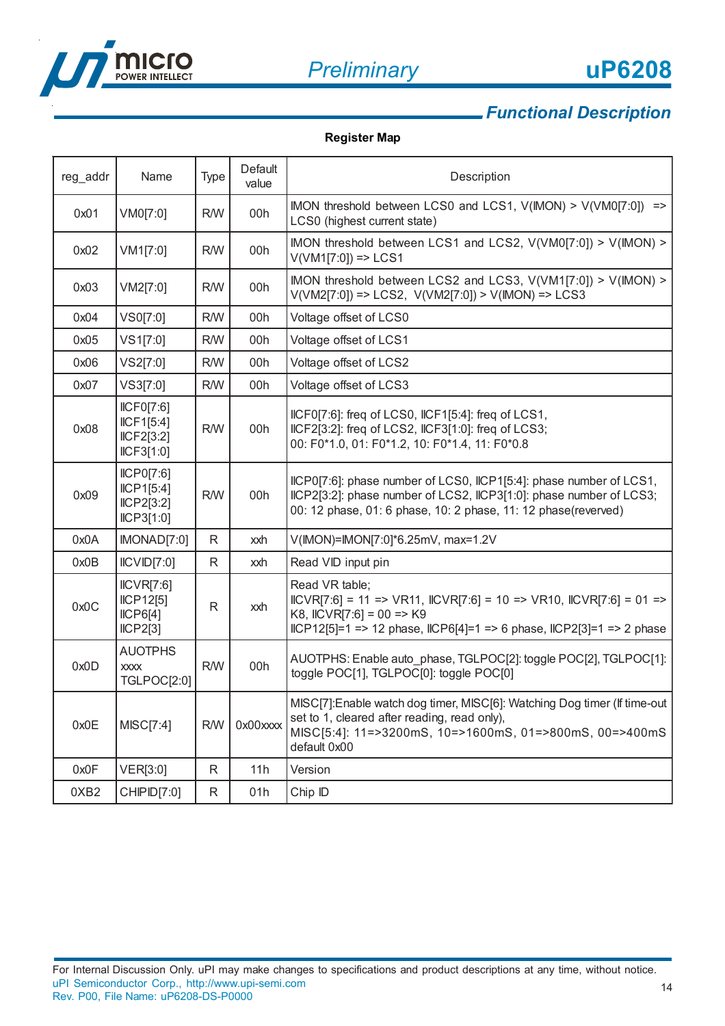

# **uP6208**

14

## *Functional Description*

#### **Register Map**

| reg_addr | Name                                                | <b>Type</b> | Default<br>value | Description                                                                                                                                                                                                            |
|----------|-----------------------------------------------------|-------------|------------------|------------------------------------------------------------------------------------------------------------------------------------------------------------------------------------------------------------------------|
| 0x01     | VM0[7:0]                                            | <b>R/W</b>  | 00h              | IMON threshold between LCS0 and LCS1, $V(IMON) > V(VMO[7:0])$ =><br>LCS0 (highest current state)                                                                                                                       |
| 0x02     | VM1[7:0]                                            | <b>R/W</b>  | 00h              | IMON threshold between LCS1 and LCS2, V(VM0[7:0]) > V(IMON) ><br>$V(VM1[7:0]) \implies LCS1$                                                                                                                           |
| 0x03     | VM2[7:0]                                            | <b>R/W</b>  | 00h              | IMON threshold between LCS2 and LCS3, V(VM1[7:0]) > V(IMON) ><br>$V(VM2[7:0])$ => LCS2, $V(VM2[7:0])$ > $V(IMON)$ => LCS3                                                                                              |
| 0x04     | VS0[7:0]                                            | <b>R/W</b>  | 00h              | Voltage offset of LCS0                                                                                                                                                                                                 |
| 0x05     | VS1[7:0]                                            | <b>R/W</b>  | 00h              | Voltage offset of LCS1                                                                                                                                                                                                 |
| 0x06     | VS2[7:0]                                            | <b>R/W</b>  | 00h              | Voltage offset of LCS2                                                                                                                                                                                                 |
| 0x07     | VS3[7:0]                                            | <b>R/W</b>  | 00h              | Voltage offset of LCS3                                                                                                                                                                                                 |
| 0x08     | ICFO[7:6]<br>ICF1[5:4]<br>ICF2[3:2]<br>ICF3[1:0]    | <b>R/W</b>  | 00h              | IICF0[7:6]: freq of LCS0, IICF1[5:4]: freq of LCS1,<br>IICF2[3:2]: freq of LCS2, IICF3[1:0]: freq of LCS3;<br>00: F0*1.0, 01: F0*1.2, 10: F0*1.4, 11: F0*0.8                                                           |
| 0x09     | ICPO[7:6]<br>ICP1[5:4]<br>ICP2[3:2]<br>ICP3[1:0]    | R/W         | 00h              | IICP0[7:6]: phase number of LCS0, IICP1[5:4]: phase number of LCS1,<br>IICP2[3:2]: phase number of LCS2, IICP3[1:0]: phase number of LCS3;<br>00: 12 phase, 01: 6 phase, 10: 2 phase, 11: 12 phase(reverved)           |
| 0x0A     | IMONAD[7:0]                                         | R           | xxh              | V(IMON)=IMON[7:0]*6.25mV, max=1.2V                                                                                                                                                                                     |
| 0x0B     | ICVID[7:0]                                          | R           | xxh              | Read VID input pin                                                                                                                                                                                                     |
| 0x0C     | ICVR[7:6]<br>ICP12[5]<br>ICP6[4]<br>ICP2[3]         | R           | xxh              | Read VR table;<br>$ICVR[7:6] = 11 \implies VR11$ , $ICVR[7:6] = 10 \implies VR10$ , $ICVR[7:6] = 01 \implies$<br>K8, IICVR[7:6] = 00 => K9<br>$ICP12[5]=1$ => 12 phase, $ICP6[4]=1$ => 6 phase, $ICP2[3]=1$ => 2 phase |
| 0x0D     | <b>AUOTPHS</b><br><b>XXXX</b><br><b>TGLPOC[2:0]</b> | <b>R/W</b>  | 00h              | AUOTPHS: Enable auto_phase, TGLPOC[2]: toggle POC[2], TGLPOC[1]:<br>toggle POC[1], TGLPOC[0]: toggle POC[0]                                                                                                            |
| 0x0E     | MISC[7:4]                                           | <b>R/W</b>  | 0x00xxxx         | MISC[7]:Enable watch dog timer, MISC[6]: Watching Dog timer (If time-out<br>set to 1, cleared after reading, read only),<br>MISC[5:4]: 11=>3200mS, 10=>1600mS, 01=>800mS, 00=>400mS<br>default 0x00                    |
| 0x0F     | VER[3:0]                                            | R           | 11h              | Version                                                                                                                                                                                                                |
| 0XB2     | CHIPID[7:0]                                         | R           | 01h              | Chip ID                                                                                                                                                                                                                |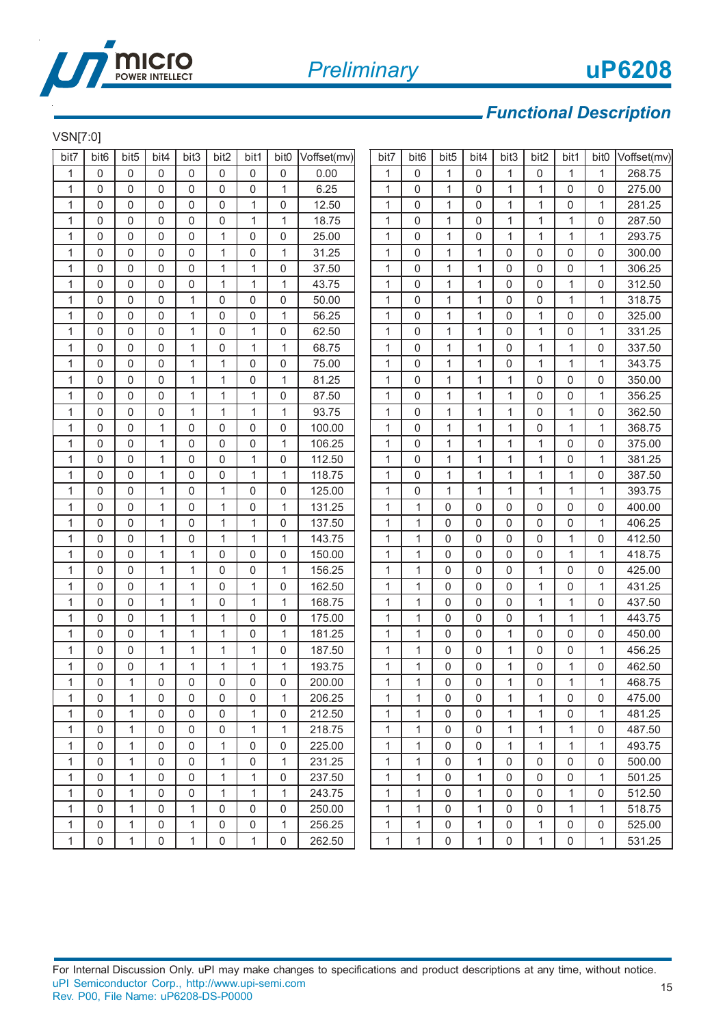

#### VSN[7:0]

| . <b>.</b>   |                  |                  |                     |                |              |              |                  |             |              |                  |                  |              |              |              |              |                  |             |
|--------------|------------------|------------------|---------------------|----------------|--------------|--------------|------------------|-------------|--------------|------------------|------------------|--------------|--------------|--------------|--------------|------------------|-------------|
| bit7         | bit <sub>6</sub> | bit <sub>5</sub> | bit4                | bit3           | bit2         | bit1         | bit <sub>0</sub> | Voffset(mv) | bit7         | bit <sub>6</sub> | bit <sub>5</sub> | bit4         | bit3         | bit2         | bit1         | bit <sub>0</sub> | Voffset(mv) |
| 1            | 0                | 0                | $\mathbf 0$         | $\mathbf 0$    | 0            | 0            | 0                | 0.00        | 1            | 0                | 1                | 0            | 1            | 0            | 1            | 1                | 268.75      |
| 1            | 0                | 0                | 0                   | $\mathbf 0$    | $\mathbf 0$  | 0            | 1                | 6.25        | 1            | 0                | $\mathbf{1}$     | $\Omega$     | 1            | $\mathbf{1}$ | 0            | 0                | 275.00      |
| 1            | 0                | 0                | 0                   | $\mathbf 0$    | 0            | 1            | 0                | 12.50       | 1            | 0                | 1                | 0            | 1            | 1            | 0            | 1                | 281.25      |
| $\mathbf{1}$ | 0                | 0                | $\pmb{0}$           | $\mathbf 0$    | 0            | $\mathbf{1}$ | $\mathbf{1}$     | 18.75       | 1            | 0                | 1                | $\Omega$     | 1            | 1            | 1            | 0                | 287.50      |
| $\mathbf{1}$ | 0                | 0                | 0                   | $\mathbf 0$    | $\mathbf{1}$ | $\mathbf 0$  | $\mathbf 0$      | 25.00       | $\mathbf{1}$ | $\mathbf 0$      | $\mathbf{1}$     | $\Omega$     | 1            | $\mathbf{1}$ | $\mathbf{1}$ | 1                | 293.75      |
| 1            | 0                | 0                | 0                   | 0              | 1            | 0            | 1                | 31.25       | 1            | 0                | 1                | 1            | 0            | 0            | 0            | 0                | 300.00      |
| $\mathbf{1}$ | 0                | 0                | $\pmb{0}$           | $\mathbf 0$    | 1            | $\mathbf{1}$ | 0                | 37.50       | $\mathbf{1}$ | 0                | 1                | 1            | 0            | 0            | 0            | 1                | 306.25      |
| 1            | 0                | 0                | 0                   | $\mathbf 0$    | 1            | 1            | 1                | 43.75       | $\mathbf{1}$ | $\mathbf 0$      | $\mathbf{1}$     | 1            | $\mathbf 0$  | $\mathbf 0$  | $\mathbf{1}$ | 0                | 312.50      |
| 1            | 0                | 0                | $\mathbf 0$         | 1              | 0            | 0            | 0                | 50.00       | 1            | 0                | 1                | 1            | $\mathbf 0$  | 0            | 1            | 1                | 318.75      |
| $\mathbf{1}$ | 0                | 0                | 0                   | 1              | 0            | 0            | $\mathbf{1}$     | 56.25       | 1            | 0                | 1                | 1            | 0            | 1            | 0            | 0                | 325.00      |
| 1            | 0                | 0                | 0                   | 1              | $\mathbf 0$  | 1            | $\mathbf 0$      | 62.50       | 1            | 0                | $\mathbf{1}$     | 1            | $\mathbf 0$  | $\mathbf 1$  | 0            | 1                | 331.25      |
| 1            | 0                | 0                | 0                   | 1              | 0            | 1            | 1                | 68.75       | 1            | 0                | 1                | 1            | 0            | 1            | 1            | 0                | 337.50      |
| 1            | 0                | 0                | $\pmb{0}$           | 1              | 1            | 0            | $\mathbf 0$      | 75.00       | 1            | 0                | 1                | 1            | 0            | 1            | $\mathbf{1}$ | 1                | 343.75      |
| $\mathbf{1}$ | 0                | 0                | 0                   | 1              | 1            | 0            | 1                | 81.25       | 1            | $\mathbf 0$      | $\mathbf{1}$     | 1            | $\mathbf{1}$ | 0            | 0            | 0                | 350.00      |
| $\mathbf{1}$ | 0                | 0                | 0                   | 1              | 1            | 1            | 0                | 87.50       | 1            | 0                | 1                | 1            | 1            | 0            | 0            | 1                | 356.25      |
| 1            | $\mathbf 0$      | $\mathbf{0}$     | 0                   | $\mathbf 1$    | 1            | 1            | $\mathbf{1}$     | 93.75       | 1            | 0                | $\mathbf{1}$     | $\mathbf{1}$ | 1            | 0            | 1            | 0                | 362.50      |
| 1            | 0                | 0                | 1                   | $\mathbf 0$    | 0            | 0            | 0                | 100.00      | $\mathbf{1}$ | 0                | 1                | 1            | 1            | 0            | $\mathbf{1}$ | 1                | 368.75      |
| $\mathbf{1}$ | 0                | 0                | 1                   | $\mathbf 0$    | 0            | 0            | 1                | 106.25      | $\mathbf{1}$ | 0                | 1                | 1            | 1            | 1            | 0            | 0                | 375.00      |
| 1            | 0                | 0                | $\mathbf{1}$        | 0              | $\mathbf 0$  | 1            | $\mathbf 0$      | 112.50      | $\mathbf{1}$ | $\mathbf 0$      | $\mathbf{1}$     | 1            | 1            | 1            | 0            | 1                | 381.25      |
| 1            | 0                | 0                | $\mathbf{1}$        | $\mathbf 0$    | 0            | 1            | 1                | 118.75      | 1            | 0                | 1                | 1            | 1            | 1            | 1            | 0                | 387.50      |
| 1            | 0                | 0                | 1                   | $\mathbf 0$    | 1            | 0            | 0                | 125.00      | 1            | 0                | 1                | 1            | 1            | 1            | 1            | 1                | 393.75      |
| 1            | 0                | 0                | 1                   | 0              | 1            | 0            | 1                | 131.25      | 1            | 1                | 0                | $\Omega$     | $\mathbf 0$  | 0            | 0            | 0                | 400.00      |
| 1            | 0                | 0                | 1                   | $\mathbf 0$    | 1            | 1            | 0                | 137.50      | 1            | 1                | 0                | 0            | 0            | 0            | 0            | 1                | 406.25      |
| $\mathbf{1}$ | 0                | 0                | $\mathbf{1}$        | $\mathbf 0$    | 1            | 1            | $\mathbf{1}$     | 143.75      | 1            | 1                | 0                | $\mathbf{0}$ | 0            | 0            | $\mathbf{1}$ | 0                | 412.50      |
| 1            | 0                | 0                | 1                   | 1              | $\mathbf 0$  | 0            | $\mathbf 0$      | 150.00      | $\mathbf{1}$ | 1                | $\mathbf 0$      | $\mathbf{0}$ | $\mathbf 0$  | 0            | $\mathbf{1}$ | 1                | 418.75      |
| 1            | 0                | 0                | $\mathbf{1}$        | 1              | 0            | 0            | 1                | 156.25      | 1            | 1                | 0                | $\mathbf{0}$ | $\mathbf 0$  | 1            | 0            | 0                | 425.00      |
| $\mathbf{1}$ | 0                | 0                | $\mathbf{1}$        | 1              | 0            | 1            | $\mathbf 0$      | 162.50      | $\mathbf{1}$ | 1                | 0                | $\Omega$     | 0            | 1            | 0            | 1                | 431.25      |
| $\mathbf{1}$ | 0                | 0                | 1                   | 1              | $\mathbf 0$  | 1            | $\mathbf{1}$     | 168.75      | $\mathbf{1}$ | 1                | 0                | $\Omega$     | $\mathbf 0$  | $\mathbf 1$  | $\mathbf{1}$ | 0                | 437.50      |
| 1            | 0                | 0                | 1                   | 1              | 1            | 0            | 0                | 175.00      | 1            | 1                | 0                | $\mathbf{0}$ | 0            | 1            | 1            | 1                | 443.75      |
| $\mathbf{1}$ | 0                | 0                | $\mathbf{1}$        | 1              | 1            | 0            | $\mathbf{1}$     | 181.25      | $\mathbf{1}$ | 1                | 0                | $\mathbf{0}$ | 1            | 0            | 0            | 0                | 450.00      |
| 1            | 0                | 0                | 1                   | 1              | 1            | 1            | 0                | 187.50      | $\mathbf{1}$ | 1                | 0                | $\mathbf{0}$ | 1            | 0            | 0            | 1                | 456.25      |
| 1            | 0                | 0                | 1                   | 1              | 1            | 1            | 1                | 193.75      | 1            | 1                | 0                | 0            | 1            | 0            | 1            | 0                | 462.50      |
| $\mathbf{1}$ | $\mathbf{0}$     | $\mathbf{1}$     | $\Omega$            | $\overline{0}$ | $\mathbf 0$  | $\mathbf{0}$ | $\mathbf{0}$     | 200.00      | $\mathbf{1}$ | 1                | $\Omega$         | 0            | $\mathbf{1}$ | 0            | $\mathbf{1}$ | 1                | 468.75      |
| 1            | 0                | 1                | 0                   | 0              | 0            | 0            | 1                | 206.25      | 1            | 1                | 0                | 0            | 1            | 1            | 0            | 0                | 475.00      |
| 1            | 0                | 1                | $\mathbf 0$         | 0              | 0            | 1            | 0                | 212.50      | 1            | 1                | $\mathbf 0$      | $\mathbf 0$  | 1            | 1            | 0            | 1                | 481.25      |
| 1            | 0                | $\mathbf{1}$     | $\mathsf{O}\xspace$ | 0              | $\mathsf 0$  | $\mathbf{1}$ | 1                | 218.75      | 1            | 1                | $\mathbf 0$      | 0            | 1            | 1            | $\mathbf{1}$ | 0                | 487.50      |
| 1            | 0                | $\mathbf{1}$     | $\mathbf 0$         | 0              | $\mathbf 1$  | 0            | 0                | 225.00      | 1            | 1                | 0                | 0            | 1            | 1            | $\mathbf{1}$ | 1                | 493.75      |
| 1            | 0                | 1                | $\mathbf 0$         | 0              | 1            | 0            | 1                | 231.25      | 1            | 1                | $\mathbf 0$      | 1            | $\mathbf 0$  | 0            | 0            | 0                | 500.00      |
| 1            | $\mathbf 0$      | $\mathbf{1}$     | $\pmb{0}$           | 0              | 1            | $\mathbf{1}$ | 0                | 237.50      | 1            | 1                | $\mathbf 0$      | 1            | $\mathbf 0$  | 0            | 0            | 1                | 501.25      |
| 1            | 0                | 1                | 0                   | 0              | 1            | 1            | 1                | 243.75      | 1            | 1                | 0                | 1            | 0            | 0            | 1            | 0                | 512.50      |
| 1            | 0                | 1                | $\mathbf 0$         | 1              | 0            | 0            | 0                | 250.00      | 1            | 1                | 0                | 1            | 0            | 0            | $\mathbf{1}$ | 1                | 518.75      |
| 1            | 0                | 1                | $\mathsf 0$         | $\mathbf{1}$   | $\mathsf 0$  | $\pmb{0}$    | 1                | 256.25      | 1            | 1                | $\mathbf 0$      | 1            | 0            | $\mathbf 1$  | $\mathsf 0$  | 0                | 525.00      |
| $\mathbf{1}$ | 0                | $\mathbf{1}$     | 0                   | 1              | 0            | 1            | $\mathbf 0$      | 262.50      | 1            | 1                | 0                | 1            | 0            | 1            | 0            | 1                | 531.25      |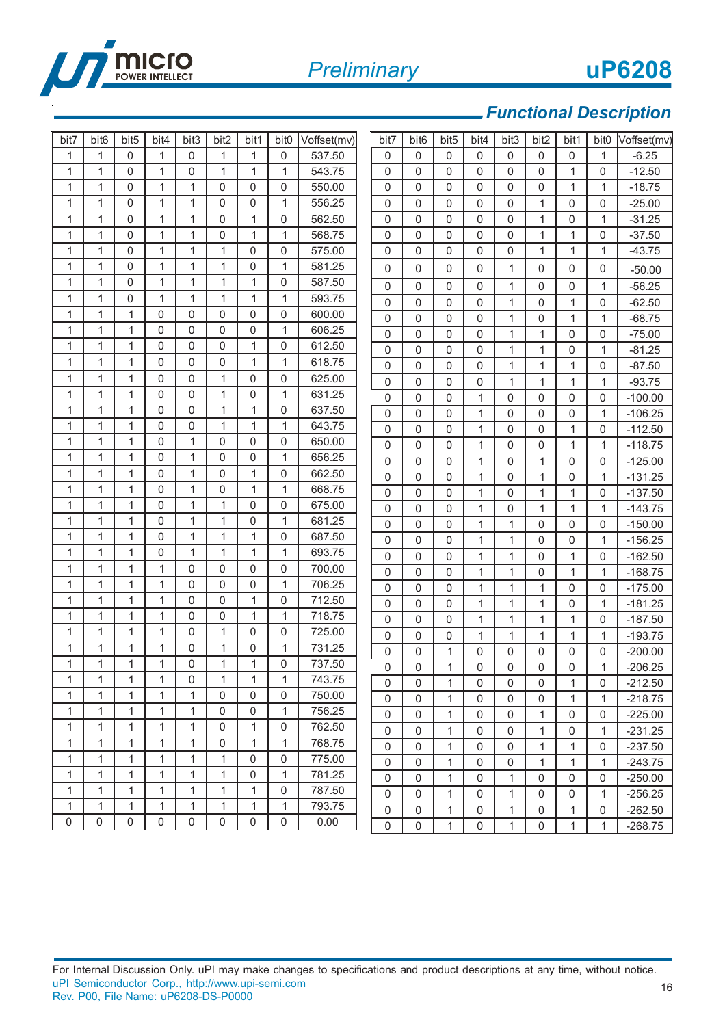

16

## *Functional Description*

| bit7         | bit <sub>6</sub> | bit <sub>5</sub> | bit4              | bit3         | bit2             | bit1              | bit <sub>0</sub> | Voffset(mv)      | bit7             | bit <sub>6</sub> | bit <sub>5</sub> | bit4         | bit3         | bit2                | bit1         | bit <sub>0</sub> | Voffset(mv) |
|--------------|------------------|------------------|-------------------|--------------|------------------|-------------------|------------------|------------------|------------------|------------------|------------------|--------------|--------------|---------------------|--------------|------------------|-------------|
| 1            | 1                | 0                | 1                 | 0            | 1                | 1                 | 0                | 537.50           | 0                | 0                | 0                | 0            | $\Omega$     | 0                   | 0            | 1                | $-6.25$     |
| 1            | 1                | 0                | $\mathbf{1}$      | 0            | 1                | 1                 | 1                | 543.75           | 0                | 0                | 0                | $\Omega$     | 0            | 0                   | $\mathbf{1}$ | 0                | $-12.50$    |
| 1            | 1                | 0                | $\mathbf{1}$      | $\mathbf{1}$ | $\mathbf 0$      | 0                 | 0                | 550.00           | $\mathsf 0$      | 0                | 0                | $\Omega$     | $\Omega$     | 0                   | $\mathbf{1}$ | $\mathbf{1}$     | $-18.75$    |
| $\mathbf{1}$ | $\mathbf{1}$     | 0                | $\mathbf{1}$      | $\mathbf{1}$ | $\mathbf 0$      | 0                 | $\mathbf{1}$     | 556.25           | $\mathbf 0$      | 0                | 0                | $\Omega$     | $\Omega$     | 1                   | 0            | 0                | $-25.00$    |
| 1            | $\mathbf{1}$     | 0                | $\mathbf{1}$      | $\mathbf{1}$ | $\mathbf 0$      | $\mathbf{1}$      | 0                | 562.50           | $\mathbf 0$      | 0                | 0                | $\Omega$     | 0            | $\mathbf{1}$        | 0            | $\mathbf{1}$     | $-31.25$    |
| $\mathbf 1$  | $\mathbf{1}$     | 0                | $\mathbf{1}$      | 1            | $\mathbf 0$      | 1                 | $\mathbf{1}$     | 568.75           | $\boldsymbol{0}$ | 0                | 0                | $\Omega$     | $\mathbf{0}$ | 1                   | $\mathbf{1}$ | 0                | $-37.50$    |
| 1            | 1                | 0                | $\mathbf{1}$      | 1            | 1                | 0                 | 0                | 575.00           | 0                | 0                | 0                | $\Omega$     | $\Omega$     | 1                   | $\mathbf{1}$ | 1                | $-43.75$    |
| 1            | 1                | 0                | $\mathbf{1}$      | 1            | 1                | 0                 | 1                | 581.25           | $\mathbf 0$      | 0                | $\mathbf{0}$     | $\Omega$     | 1            | 0                   | 0            | 0                | $-50.00$    |
| 1            | 1                | 0                | $\mathbf{1}$      | $\mathbf{1}$ | 1                | 1                 | 0                | 587.50           | 0                | 0                | 0                | $\Omega$     | 1            | 0                   | 0            | 1                | $-56.25$    |
| 1            | 1                | 0                | $\mathbf{1}$      | $\mathbf{1}$ | 1                | $\mathbf{1}$      | $\mathbf{1}$     | 593.75           | $\boldsymbol{0}$ | 0                | 0                | $\Omega$     | 1            | 0                   | $\mathbf{1}$ | 0                | $-62.50$    |
| $\mathbf{1}$ | 1                | 1                | 0                 | 0            | 0                | 0                 | 0                | 600.00           | $\mathsf 0$      | 0                | $\mathbf 0$      | $\Omega$     | 1            | $\pmb{0}$           | 1            | $\mathbf{1}$     | $-68.75$    |
| $\mathbf 1$  | $\mathbf{1}$     | 1                | $\mathbf{0}$      | $\mathsf 0$  | 0                | 0                 | $\mathbf{1}$     | 606.25           | $\boldsymbol{0}$ | 0                | 0                | $\mathbf 0$  | 1            | 1                   | 0            | 0                | $-75.00$    |
| 1            | 1                | 1                | 0                 | $\Omega$     | $\mathbf 0$      | $\mathbf{1}$      | 0                | 612.50           | $\mathbf 0$      | 0                | $\mathbf 0$      | $\Omega$     | $\mathbf{1}$ | 1                   | 0            | 1                | $-81.25$    |
| 1            | 1                | 1                | 0                 | 0            | $\mathbf 0$      | 1                 | $\mathbf{1}$     | 618.75           | $\mathbf 0$      | 0                | $\Omega$         | $\Omega$     | 1            | 1                   | 1            | 0                | $-87.50$    |
| $\mathbf{1}$ | $\mathbf{1}$     | 1                | $\mathbf{0}$      | $\mathbf 0$  | 1                | 0                 | $\mathbf 0$      | 625.00           | $\boldsymbol{0}$ | 0                | 0                | 0            | 1            | 1                   | 1            | 1                | $-93.75$    |
| $\mathbf{1}$ | $\mathbf{1}$     | 1                | $\Omega$          | $\mathsf 0$  | 1                | 0                 | $\mathbf{1}$     | 631.25           | $\mathsf 0$      | 0                | 0                | 1            | $\Omega$     | $\pmb{0}$           | $\mathbf 0$  | 0                | $-100.00$   |
| 1            | 1                | 1                | 0                 | $\mathsf 0$  | 1                | 1                 | 0                | 637.50           | $\mathbf 0$      | 0                | $\mathbf 0$      | 1            | $\Omega$     | $\pmb{0}$           | $\mathbf 0$  | $\mathbf{1}$     | $-106.25$   |
| $\mathbf 1$  | 1                | 1                | 0                 | 0            | 1                | $\mathbf{1}$      | $\mathbf{1}$     | 643.75           | $\boldsymbol{0}$ | 0                | 0                | $\mathbf{1}$ | $\Omega$     | $\Omega$            | 1            | 0                | $-112.50$   |
| 1            | 1                | 1                | $\mathbf{0}$      | $\mathbf{1}$ | $\mathbf 0$      | 0                 | 0                | 650.00           | 0                | 0                | 0                | 1            | $\Omega$     | 0                   | $\mathbf{1}$ | $\mathbf{1}$     | $-118.75$   |
| 1            | 1                | 1                | $\mathbf{0}$      | $\mathbf{1}$ | $\mathbf 0$      | 0                 | $\mathbf{1}$     | 656.25           | $\boldsymbol{0}$ | 0                | 0                | 1            | $\Omega$     | 1                   | 0            | 0                | $-125.00$   |
| $\mathbf{1}$ | $\mathbf{1}$     | 1                | $\mathbf{0}$      | $\mathbf{1}$ | $\mathbf 0$      | $\mathbf 1$       | $\mathbf 0$      | 662.50           | $\boldsymbol{0}$ | 0                | 0                | 1            | $\Omega$     | 1                   | 0            | 1                | $-131.25$   |
| 1            | 1                | 1                | 0                 | $\mathbf{1}$ | $\mathbf 0$      | $\mathbf{1}$      | 1                | 668.75           | $\mathsf 0$      | 0                | 0                | 1            | $\Omega$     | 1                   | $\mathbf{1}$ | 0                | $-137.50$   |
| 1            | 1                | 1                | 0                 | $\mathbf{1}$ | 1                | 0                 | 0                | 675.00           | $\mathsf 0$      | 0                | 0                | 1            | $\Omega$     | 1                   | 1            | 1                | $-143.75$   |
| $\mathbf{1}$ | 1                | 1                | 0                 | $\mathbf{1}$ | 1                | 0                 | 1                | 681.25           | $\boldsymbol{0}$ | 0                | $\mathbf{0}$     | $\mathbf{1}$ | $\mathbf{1}$ | 0                   | 0            | 0                | $-150.00$   |
| 1            | 1                | 1                | 0                 | 1            | 1                | $\mathbf{1}$      | 0                | 687.50           | 0                | 0                | 0                | 1            | 1            | 0                   | 0            | $\mathbf{1}$     | $-156.25$   |
| 1            | 1                | 1                | 0                 | $\mathbf{1}$ | 1                | 1                 | $\mathbf{1}$     | 693.75           | $\boldsymbol{0}$ | 0                | 0                | 1            | 1            | 0                   | $\mathbf{1}$ | 0                | $-162.50$   |
| $\mathbf{1}$ | $\mathbf{1}$     | 1                | $\mathbf{1}$      | $\mathsf 0$  | $\mathbf 0$      | 0                 | 0                | 700.00           | $\mathbf 0$      | 0                | 0                | 1            | $\mathbf{1}$ | 0                   | 1            | 1                | $-168.75$   |
| 1            | $\mathbf{1}$     | 1<br>1           | $\mathbf{1}$<br>1 | $\Omega$     | $\mathbf 0$      | 0                 | $\mathbf{1}$     | 706.25<br>712.50 | $\mathbf 0$      | 0                | 0                | 1            | 1            | 1                   | 0            | 0                | $-175.00$   |
| 1            | $\mathbf{1}$     |                  |                   | $\mathsf 0$  | 0                | $\mathbf{1}$      | 0                |                  | $\mathbf 0$      | 0                | 0                | 1            | 1            | 1                   | $\mathbf 0$  | $\mathbf{1}$     | $-181.25$   |
| 1<br>1       | 1<br>1           | 1<br>1           | 1<br>1            | 0<br>0       | $\mathbf 0$<br>1 | $\mathbf{1}$<br>0 | 1<br>0           | 718.75<br>725.00 | $\boldsymbol{0}$ | 0                | 0                | $\mathbf{1}$ | 1            | $\mathbf{1}$        | 1            | 0                | $-187.50$   |
| 1            | 1                | 1                | 1                 | 0            | 1                | 0                 | $\mathbf{1}$     | 731.25           | 0                | 0                | 0                | 1            | 1            | 1                   | 1            | $\mathbf{1}$     | $-193.75$   |
| 1            | 1                | 1                | 1                 | 0            | 1                | 1                 | 0                | 737.50           | 0                | 0                | 1                | 0            | 0            | 0                   | 0            | 0                | $-200.00$   |
| 1            | 1                | 1                | 1                 | 0            | 1                | 1                 | 1                | 743.75           | $\overline{0}$   | 0                | 1                | $\Omega$     | 0            | 0                   | 0            | 1                | $-206.25$   |
| 1            | 1                | 1                | 1                 | 1            | 0                | 0                 | 0                | 750.00           | 0                | 0                | $\mathbf{1}$     | $\mathbf 0$  | 0            | 0                   | 1            | 0                | $-212.50$   |
| 1            | 1                | 1                | 1                 | 1            | 0                | 0                 | $\mathbf{1}$     | 756.25           | $\mathsf 0$      | $\mathbf 0$      | $\mathbf{1}$     | 0            | $\mathbf 0$  | $\mathsf{O}\xspace$ | 1            | $\mathbf{1}$     | $-218.75$   |
| 1            | 1                | 1                | 1                 | 1            | 0                | $\mathbf{1}$      | $\pmb{0}$        | 762.50           | 0                | 0                | $\mathbf{1}$     | $\mathbf 0$  | $\mathbf 0$  | 1                   | 0            | 0                | $-225.00$   |
| 1            | $\mathbf{1}$     | $\mathbf{1}$     | 1                 | $\mathbf{1}$ | 0                | $\mathbf{1}$      | $\mathbf{1}$     | 768.75           | 0                | 0                | $\mathbf{1}$     | 0            | 0            | 1                   | 0            | 1                | $-231.25$   |
| 1            | 1                | $\mathbf{1}$     | $\mathbf{1}$      | $\mathbf{1}$ | 1                | 0                 | 0                | 775.00           | $\mathsf 0$      | 0                | $\mathbf{1}$     | 0            | 0            | 1                   | $\mathbf{1}$ | 0                | $-237.50$   |
| 1            | 1                | 1                | 1                 | 1            | 1                | 0                 | 1                | 781.25           | $\mathsf 0$      | 0                | $\mathbf{1}$     | 0            | $\mathbf 0$  | 1                   | 1            | 1                | $-243.75$   |
| $\mathbf{1}$ | $\mathbf{1}$     | 1                | 1                 | $\mathbf{1}$ | 1                | $\mathbf{1}$      | 0                | 787.50           | $\mathsf 0$      | 0                | 1                | $\mathbf 0$  | 1            | $\mathsf{O}\xspace$ | 0            | 0                | $-250.00$   |
| 1            | 1                | 1                | 1                 | 1            | 1                | 1                 | 1                | 793.75           | $\mathsf 0$      | 0                | 1                | 0            | 1            | $\mathsf{O}\xspace$ | 0            | 1                | $-256.25$   |
| 0            | 0                | 0                | 0                 | 0            | 0                | 0                 | 0                | 0.00             | $\mathsf 0$      | 0                | $\mathbf{1}$     | 0            | 1            | 0                   | $\mathbf{1}$ | 0                | $-262.50$   |
|              |                  |                  |                   |              |                  |                   |                  |                  | 0                | 0                | 1                | 0            | 1            | 0                   | 1            | 1                | $-268.75$   |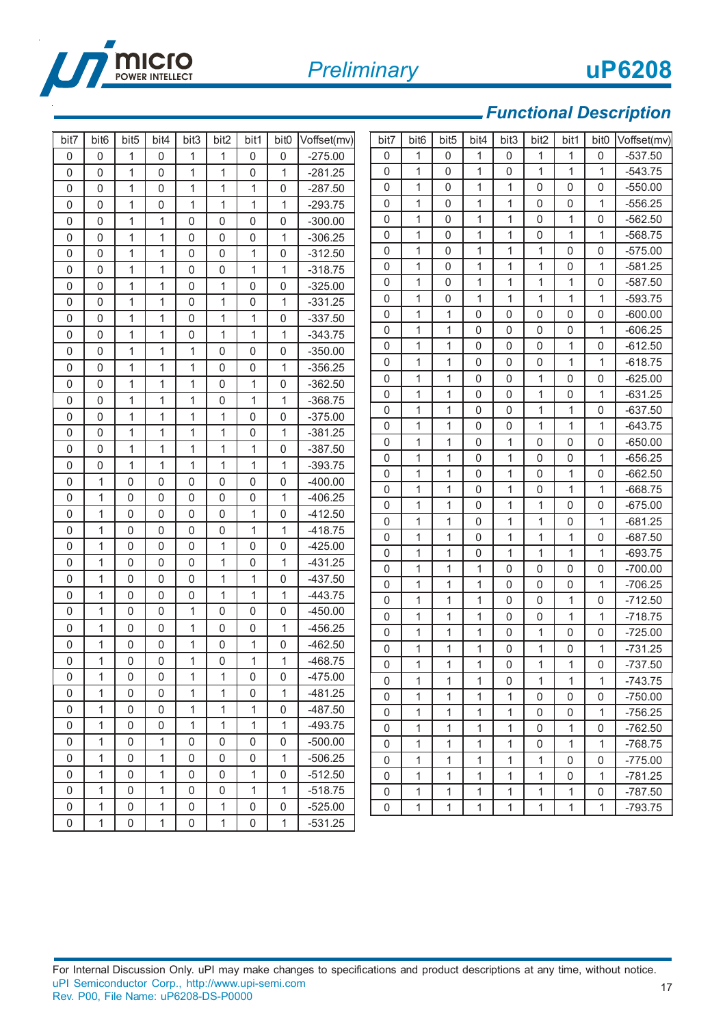

| 0<br>$\mathbf 0$<br>$\mathbf 0$<br>1<br>0<br>1<br>1<br>0<br>$-275.00$<br>0<br>1<br>$\mathbf{0}$<br>1<br>0<br>1<br>1<br>0<br>$-537.50$<br>0<br>1<br>$\mathbf{1}$<br>$\mathbf{1}$<br>$\mathbf{1}$<br>1<br>$-543.75$<br>$\mathbf{0}$<br>0<br>0<br>$\Omega$<br>1<br>0<br>1<br>1<br>0<br>1<br>$-281.25$<br>$\mathbf{1}$<br>$\mathbf{0}$<br>1<br>1<br>$\mathbf{0}$<br>0<br>$-550.00$<br>0<br>0<br>0<br>$\mathbf{0}$<br>1<br>1<br>1<br>$-287.50$<br>1<br>0<br>$\mathbf 0$<br>1<br>0<br>1<br>$\mathbf{0}$<br>1<br>0<br>0<br>1<br>$-556.25$<br>0<br>1<br>1<br>$-293.75$<br>0<br>1<br>0<br>1<br>1<br>0<br>$\mathbf{1}$<br>1<br>$\mathbf{1}$<br>$\mathbf{0}$<br>1<br>0<br>0<br>0<br>$\mathbf{0}$<br>1<br>1<br>$\Omega$<br>$\mathbf 0$<br>0<br>$-300.00$<br>0<br>0<br>$\mathbf{1}$<br>1<br>$\mathbf{0}$<br>1<br>1<br>0<br>1<br>0<br>1<br>1<br>$\mathbf{0}$<br>$\mathbf 0$<br>0<br>1<br>$-306.25$<br>0<br>0<br>0<br>1<br>0<br>1<br>1<br>1<br>0<br>0<br>$\mathbf 0$<br>1<br>1<br>$\mathbf 0$<br>$\mathbf 0$<br>1<br>$\mathbf 0$<br>$-312.50$<br>$\mathbf{1}$<br>$\mathbf{1}$<br>0<br>1<br>$\mathbf{0}$<br>1<br>0<br>1<br>0<br>0<br>$\mathbf{0}$<br>1<br>0<br>1<br>1<br>$-318.75$<br>1<br>$\mathbf{1}$<br>1<br>1<br>1<br>$\mathbf{1}$<br>0<br>$\mathbf{0}$<br>0<br>0<br>1<br>0<br>1<br>1<br>0<br>0<br>0<br>$-325.00$<br>0<br>1<br>1<br>1<br>1<br>$\mathbf{1}$<br>1<br>0<br>0<br>1<br>$\mathbf{0}$<br>1<br>1<br>$\mathbf{0}$<br>0<br>1<br>$-331.25$<br>0<br>1<br>0<br>0<br>0<br>0<br>0<br>1<br>0<br>$\Omega$<br>1<br>1<br>$\Omega$<br>1<br>1<br>$\mathbf 0$<br>$-337.50$<br>0<br>$\mathbf 0$<br>1<br>1<br>0<br>0<br>0<br>1<br>0<br>$\Omega$<br>1<br>1<br>0<br>1<br>1<br>1<br>$-343.75$<br>1<br>0<br>$\mathbf{1}$<br>$\mathbf{1}$<br>0<br>0<br>$\mathbf 0$<br>0<br>0<br>1<br>$\mathbf 0$<br>0<br>$-350.00$<br>0<br>1<br>1<br>$\mathbf{0}$<br>$\mathbf 0$<br>$\mathbf{1}$<br>0<br>1<br>1<br>0<br>0<br>1<br>0<br>$\mathbf{0}$<br>1<br>1<br>1<br>$\mathbf 0$<br>0<br>$-356.25$<br>1<br>1<br>1<br>0<br>1<br>$\Omega$<br>0<br>0<br>0<br>0<br>1<br>1<br>$\mathbf 0$<br>1<br>$-362.50$<br>$\mathbf{0}$<br>1<br>$\mathbf 0$<br>$\mathsf 0$<br>1<br>$\mathbf{1}$<br>0<br>1<br>0<br>1<br>0<br>0<br>$\mathbf{0}$<br>1<br>1<br>0<br>1<br>1<br>$-368.75$<br>1<br>0<br>1<br>$\mathbf 1$<br>$\Omega$<br>0<br>1<br>1<br>0<br>0<br>$\mathbf{0}$<br>1<br>1<br>0<br>$-375.00$<br>1<br>1<br>0<br>0<br>1<br>1<br>0<br>0<br>1<br>1<br>1<br>0<br>1<br>1<br>1<br>0<br>1<br>$-381.25$<br>0<br>1<br>0<br>1<br>$\mathbf{1}$<br>$\Omega$<br>$\mathbf{1}$<br>$\mathbf 0$<br>0<br>0<br>0<br>$\mathbf 0$<br>1<br>1<br>1<br>1<br>1<br>$\mathbf 0$<br>$-387.50$<br>1<br>$\mathbf 0$<br>0<br>1<br>0<br>1<br>1<br>$\Omega$<br>$\mathbf{1}$<br>0<br>$\Omega$<br>1<br>1<br>1<br>1<br>1<br>$-393.75$<br>0<br>1<br>1<br>$\mathbf 1$<br>$\Omega$<br>0<br>1<br>0<br>0<br>$\mathbf{1}$<br>0<br>$\mathbf{0}$<br>0<br>$\mathbf{0}$<br>0<br>$\mathbf{0}$<br>$-400.00$<br>0<br>1<br>1<br>1<br>0<br>1<br>0<br>1<br>0<br>$\mathbf{0}$<br>0<br>$\Omega$<br>$\mathbf 0$<br>0<br>$-406.25$<br>1<br>1<br>0<br>1<br>$\mathbf 1$<br>$\Omega$<br>1<br>1<br>0<br>0<br>0<br>0<br>$\mathbf 0$<br>0<br>1<br>$-412.50$<br>1<br>0<br>$\mathbf 0$<br>0<br>$\mathbf{1}$<br>0<br>1<br>1<br>1<br>0<br>1<br>0<br>0<br>$\Omega$<br>$\mathbf 0$<br>1<br>$-418.75$<br>1<br>0<br>1<br>0<br>$\mathbf{1}$<br>$\mathbf{1}$<br>$\mathbf{1}$<br>1<br>1<br>0<br>0<br>0<br>$\mathbf{1}$<br>$\mathbf{0}$<br>0<br>$\Omega$<br>1<br>0<br>0<br>$-425.00$<br>0<br>$\mathbf{1}$<br>$\mathbf 1$<br>1<br>$\mathbf{1}$<br>$\mathbf{1}$<br>$\mathbf{1}$<br>$\Omega$<br>0<br>1<br>0<br>$\mathbf{0}$<br>1<br>0<br>1<br>$-431.25$<br>$\mathbf{0}$<br>$\mathsf 0$<br>$\mathbf{1}$<br>$\mathbf 1$<br>1<br>0<br>$\mathbf 0$<br>0<br>0<br>0<br>1<br>0<br>0<br>1<br>1<br>$-437.50$<br>0<br>0<br>$\mathsf 0$<br>1<br>1<br>1<br>0<br>0<br>0<br>1<br>0<br>0<br>0<br>$\mathbf 1$<br>$\mathbf{1}$<br>$\mathbf{0}$<br>1<br>1<br>$-443.75$<br>0<br>1<br>$\mathbf 0$<br>1<br>1<br>0<br>1<br>0<br>0<br>$\mathbf{1}$<br>0<br>1<br>$\mathbf 0$<br>0<br>$\mathbf{0}$<br>$\mathbf 0$<br>$-450.00$<br>$\mathsf 0$<br>$\mathbf{1}$<br>$\mathbf{1}$<br>$\mathbf{1}$<br>0<br>$\mathbf 0$<br>$\mathbf{1}$<br>$\mathbf{1}$<br>0<br>$\mathbf{1}$<br>$\mathbf{1}$<br>0<br>0<br>$\mathbf 0$<br>0<br>1<br>$-456.25$<br>$\mathbf{1}$<br>0<br>1<br>1<br>0<br>0<br>1<br>0<br>0<br>0<br>0<br>1<br>$-462.50$<br>1<br>0<br>1<br>$\mathbf{0}$<br>0<br>1<br>$\mathbf 1$<br>1<br>0<br>1<br>0<br>1<br>0<br>0<br>$\mathbf 0$<br>$\mathbf 0$<br>1<br>1<br>1<br>1<br>$-468.75$<br>$\mathbf 0$<br>1<br>$\mathbf{1}$<br>1<br>1<br>1<br>0<br>$\Omega$<br>1<br>0<br>1<br>0<br>0<br>0<br>1<br>0<br>$-475.00$<br>0<br>1<br>1<br>1<br>0<br>1<br>1<br>1<br>$\mathsf 0$<br>1<br>0<br>0<br>1<br>1<br>0<br>1<br>$-481.25$<br>$\mathsf 0$<br>1<br>$\mathsf{O}\xspace$<br>1<br>1<br>1<br>$\mathbf 0$<br>0 | bit7 | bit <sub>6</sub> | bit <sub>5</sub> | bit <sub>4</sub> | bit3 | bit <sub>2</sub> | bit1 | bit <sub>0</sub> | Voffset(mv) | bit7 | bit <sub>6</sub> | bit <sub>5</sub> | bit <sub>4</sub> | bit3 | bit2 | bit1 | bit <sub>0</sub> | Voffset(mv) |
|------------------------------------------------------------------------------------------------------------------------------------------------------------------------------------------------------------------------------------------------------------------------------------------------------------------------------------------------------------------------------------------------------------------------------------------------------------------------------------------------------------------------------------------------------------------------------------------------------------------------------------------------------------------------------------------------------------------------------------------------------------------------------------------------------------------------------------------------------------------------------------------------------------------------------------------------------------------------------------------------------------------------------------------------------------------------------------------------------------------------------------------------------------------------------------------------------------------------------------------------------------------------------------------------------------------------------------------------------------------------------------------------------------------------------------------------------------------------------------------------------------------------------------------------------------------------------------------------------------------------------------------------------------------------------------------------------------------------------------------------------------------------------------------------------------------------------------------------------------------------------------------------------------------------------------------------------------------------------------------------------------------------------------------------------------------------------------------------------------------------------------------------------------------------------------------------------------------------------------------------------------------------------------------------------------------------------------------------------------------------------------------------------------------------------------------------------------------------------------------------------------------------------------------------------------------------------------------------------------------------------------------------------------------------------------------------------------------------------------------------------------------------------------------------------------------------------------------------------------------------------------------------------------------------------------------------------------------------------------------------------------------------------------------------------------------------------------------------------------------------------------------------------------------------------------------------------------------------------------------------------------------------------------------------------------------------------------------------------------------------------------------------------------------------------------------------------------------------------------------------------------------------------------------------------------------------------------------------------------------------------------------------------------------------------------------------------------------------------------------------------------------------------------------------------------------------------------------------------------------------------------------------------------------------------------------------------------------------------------------------------------------------------------------------------------------------------------------------------------------------------------------------------------------------------------------------------------------------------------------------------------------------------------------------------------------------------------------------------------------------------------------------------------------------------------------------------------------------------------------------------------------------------------------------------------------------------------------------------------------------------------------------------------------------------------------------------------------------------------------------------------------------------------------------------------------------------------------|------|------------------|------------------|------------------|------|------------------|------|------------------|-------------|------|------------------|------------------|------------------|------|------|------|------------------|-------------|
|                                                                                                                                                                                                                                                                                                                                                                                                                                                                                                                                                                                                                                                                                                                                                                                                                                                                                                                                                                                                                                                                                                                                                                                                                                                                                                                                                                                                                                                                                                                                                                                                                                                                                                                                                                                                                                                                                                                                                                                                                                                                                                                                                                                                                                                                                                                                                                                                                                                                                                                                                                                                                                                                                                                                                                                                                                                                                                                                                                                                                                                                                                                                                                                                                                                                                                                                                                                                                                                                                                                                                                                                                                                                                                                                                                                                                                                                                                                                                                                                                                                                                                                                                                                                                                                                                                                                                                                                                                                                                                                                                                                                                                                                                                                                                                                                                                          |      |                  |                  |                  |      |                  |      |                  |             |      |                  |                  |                  |      |      |      |                  |             |
|                                                                                                                                                                                                                                                                                                                                                                                                                                                                                                                                                                                                                                                                                                                                                                                                                                                                                                                                                                                                                                                                                                                                                                                                                                                                                                                                                                                                                                                                                                                                                                                                                                                                                                                                                                                                                                                                                                                                                                                                                                                                                                                                                                                                                                                                                                                                                                                                                                                                                                                                                                                                                                                                                                                                                                                                                                                                                                                                                                                                                                                                                                                                                                                                                                                                                                                                                                                                                                                                                                                                                                                                                                                                                                                                                                                                                                                                                                                                                                                                                                                                                                                                                                                                                                                                                                                                                                                                                                                                                                                                                                                                                                                                                                                                                                                                                                          |      |                  |                  |                  |      |                  |      |                  |             |      |                  |                  |                  |      |      |      |                  |             |
|                                                                                                                                                                                                                                                                                                                                                                                                                                                                                                                                                                                                                                                                                                                                                                                                                                                                                                                                                                                                                                                                                                                                                                                                                                                                                                                                                                                                                                                                                                                                                                                                                                                                                                                                                                                                                                                                                                                                                                                                                                                                                                                                                                                                                                                                                                                                                                                                                                                                                                                                                                                                                                                                                                                                                                                                                                                                                                                                                                                                                                                                                                                                                                                                                                                                                                                                                                                                                                                                                                                                                                                                                                                                                                                                                                                                                                                                                                                                                                                                                                                                                                                                                                                                                                                                                                                                                                                                                                                                                                                                                                                                                                                                                                                                                                                                                                          |      |                  |                  |                  |      |                  |      |                  |             |      |                  |                  |                  |      |      |      |                  |             |
|                                                                                                                                                                                                                                                                                                                                                                                                                                                                                                                                                                                                                                                                                                                                                                                                                                                                                                                                                                                                                                                                                                                                                                                                                                                                                                                                                                                                                                                                                                                                                                                                                                                                                                                                                                                                                                                                                                                                                                                                                                                                                                                                                                                                                                                                                                                                                                                                                                                                                                                                                                                                                                                                                                                                                                                                                                                                                                                                                                                                                                                                                                                                                                                                                                                                                                                                                                                                                                                                                                                                                                                                                                                                                                                                                                                                                                                                                                                                                                                                                                                                                                                                                                                                                                                                                                                                                                                                                                                                                                                                                                                                                                                                                                                                                                                                                                          |      |                  |                  |                  |      |                  |      |                  |             |      |                  |                  |                  |      |      |      |                  |             |
|                                                                                                                                                                                                                                                                                                                                                                                                                                                                                                                                                                                                                                                                                                                                                                                                                                                                                                                                                                                                                                                                                                                                                                                                                                                                                                                                                                                                                                                                                                                                                                                                                                                                                                                                                                                                                                                                                                                                                                                                                                                                                                                                                                                                                                                                                                                                                                                                                                                                                                                                                                                                                                                                                                                                                                                                                                                                                                                                                                                                                                                                                                                                                                                                                                                                                                                                                                                                                                                                                                                                                                                                                                                                                                                                                                                                                                                                                                                                                                                                                                                                                                                                                                                                                                                                                                                                                                                                                                                                                                                                                                                                                                                                                                                                                                                                                                          |      |                  |                  |                  |      |                  |      |                  |             |      |                  |                  |                  |      |      |      |                  | $-562.50$   |
|                                                                                                                                                                                                                                                                                                                                                                                                                                                                                                                                                                                                                                                                                                                                                                                                                                                                                                                                                                                                                                                                                                                                                                                                                                                                                                                                                                                                                                                                                                                                                                                                                                                                                                                                                                                                                                                                                                                                                                                                                                                                                                                                                                                                                                                                                                                                                                                                                                                                                                                                                                                                                                                                                                                                                                                                                                                                                                                                                                                                                                                                                                                                                                                                                                                                                                                                                                                                                                                                                                                                                                                                                                                                                                                                                                                                                                                                                                                                                                                                                                                                                                                                                                                                                                                                                                                                                                                                                                                                                                                                                                                                                                                                                                                                                                                                                                          |      |                  |                  |                  |      |                  |      |                  |             |      |                  |                  |                  |      |      |      |                  | $-568.75$   |
|                                                                                                                                                                                                                                                                                                                                                                                                                                                                                                                                                                                                                                                                                                                                                                                                                                                                                                                                                                                                                                                                                                                                                                                                                                                                                                                                                                                                                                                                                                                                                                                                                                                                                                                                                                                                                                                                                                                                                                                                                                                                                                                                                                                                                                                                                                                                                                                                                                                                                                                                                                                                                                                                                                                                                                                                                                                                                                                                                                                                                                                                                                                                                                                                                                                                                                                                                                                                                                                                                                                                                                                                                                                                                                                                                                                                                                                                                                                                                                                                                                                                                                                                                                                                                                                                                                                                                                                                                                                                                                                                                                                                                                                                                                                                                                                                                                          |      |                  |                  |                  |      |                  |      |                  |             |      |                  |                  |                  |      |      |      |                  | $-575.00$   |
|                                                                                                                                                                                                                                                                                                                                                                                                                                                                                                                                                                                                                                                                                                                                                                                                                                                                                                                                                                                                                                                                                                                                                                                                                                                                                                                                                                                                                                                                                                                                                                                                                                                                                                                                                                                                                                                                                                                                                                                                                                                                                                                                                                                                                                                                                                                                                                                                                                                                                                                                                                                                                                                                                                                                                                                                                                                                                                                                                                                                                                                                                                                                                                                                                                                                                                                                                                                                                                                                                                                                                                                                                                                                                                                                                                                                                                                                                                                                                                                                                                                                                                                                                                                                                                                                                                                                                                                                                                                                                                                                                                                                                                                                                                                                                                                                                                          |      |                  |                  |                  |      |                  |      |                  |             |      |                  |                  |                  |      |      |      |                  | $-581.25$   |
|                                                                                                                                                                                                                                                                                                                                                                                                                                                                                                                                                                                                                                                                                                                                                                                                                                                                                                                                                                                                                                                                                                                                                                                                                                                                                                                                                                                                                                                                                                                                                                                                                                                                                                                                                                                                                                                                                                                                                                                                                                                                                                                                                                                                                                                                                                                                                                                                                                                                                                                                                                                                                                                                                                                                                                                                                                                                                                                                                                                                                                                                                                                                                                                                                                                                                                                                                                                                                                                                                                                                                                                                                                                                                                                                                                                                                                                                                                                                                                                                                                                                                                                                                                                                                                                                                                                                                                                                                                                                                                                                                                                                                                                                                                                                                                                                                                          |      |                  |                  |                  |      |                  |      |                  |             |      |                  |                  |                  |      |      |      |                  | $-587.50$   |
|                                                                                                                                                                                                                                                                                                                                                                                                                                                                                                                                                                                                                                                                                                                                                                                                                                                                                                                                                                                                                                                                                                                                                                                                                                                                                                                                                                                                                                                                                                                                                                                                                                                                                                                                                                                                                                                                                                                                                                                                                                                                                                                                                                                                                                                                                                                                                                                                                                                                                                                                                                                                                                                                                                                                                                                                                                                                                                                                                                                                                                                                                                                                                                                                                                                                                                                                                                                                                                                                                                                                                                                                                                                                                                                                                                                                                                                                                                                                                                                                                                                                                                                                                                                                                                                                                                                                                                                                                                                                                                                                                                                                                                                                                                                                                                                                                                          |      |                  |                  |                  |      |                  |      |                  |             |      |                  |                  |                  |      |      |      |                  | $-593.75$   |
|                                                                                                                                                                                                                                                                                                                                                                                                                                                                                                                                                                                                                                                                                                                                                                                                                                                                                                                                                                                                                                                                                                                                                                                                                                                                                                                                                                                                                                                                                                                                                                                                                                                                                                                                                                                                                                                                                                                                                                                                                                                                                                                                                                                                                                                                                                                                                                                                                                                                                                                                                                                                                                                                                                                                                                                                                                                                                                                                                                                                                                                                                                                                                                                                                                                                                                                                                                                                                                                                                                                                                                                                                                                                                                                                                                                                                                                                                                                                                                                                                                                                                                                                                                                                                                                                                                                                                                                                                                                                                                                                                                                                                                                                                                                                                                                                                                          |      |                  |                  |                  |      |                  |      |                  |             |      |                  |                  |                  |      |      |      |                  | $-600.00$   |
|                                                                                                                                                                                                                                                                                                                                                                                                                                                                                                                                                                                                                                                                                                                                                                                                                                                                                                                                                                                                                                                                                                                                                                                                                                                                                                                                                                                                                                                                                                                                                                                                                                                                                                                                                                                                                                                                                                                                                                                                                                                                                                                                                                                                                                                                                                                                                                                                                                                                                                                                                                                                                                                                                                                                                                                                                                                                                                                                                                                                                                                                                                                                                                                                                                                                                                                                                                                                                                                                                                                                                                                                                                                                                                                                                                                                                                                                                                                                                                                                                                                                                                                                                                                                                                                                                                                                                                                                                                                                                                                                                                                                                                                                                                                                                                                                                                          |      |                  |                  |                  |      |                  |      |                  |             |      |                  |                  |                  |      |      |      |                  | $-606.25$   |
|                                                                                                                                                                                                                                                                                                                                                                                                                                                                                                                                                                                                                                                                                                                                                                                                                                                                                                                                                                                                                                                                                                                                                                                                                                                                                                                                                                                                                                                                                                                                                                                                                                                                                                                                                                                                                                                                                                                                                                                                                                                                                                                                                                                                                                                                                                                                                                                                                                                                                                                                                                                                                                                                                                                                                                                                                                                                                                                                                                                                                                                                                                                                                                                                                                                                                                                                                                                                                                                                                                                                                                                                                                                                                                                                                                                                                                                                                                                                                                                                                                                                                                                                                                                                                                                                                                                                                                                                                                                                                                                                                                                                                                                                                                                                                                                                                                          |      |                  |                  |                  |      |                  |      |                  |             |      |                  |                  |                  |      |      |      |                  | $-612.50$   |
|                                                                                                                                                                                                                                                                                                                                                                                                                                                                                                                                                                                                                                                                                                                                                                                                                                                                                                                                                                                                                                                                                                                                                                                                                                                                                                                                                                                                                                                                                                                                                                                                                                                                                                                                                                                                                                                                                                                                                                                                                                                                                                                                                                                                                                                                                                                                                                                                                                                                                                                                                                                                                                                                                                                                                                                                                                                                                                                                                                                                                                                                                                                                                                                                                                                                                                                                                                                                                                                                                                                                                                                                                                                                                                                                                                                                                                                                                                                                                                                                                                                                                                                                                                                                                                                                                                                                                                                                                                                                                                                                                                                                                                                                                                                                                                                                                                          |      |                  |                  |                  |      |                  |      |                  |             |      |                  |                  |                  |      |      |      |                  | $-618.75$   |
|                                                                                                                                                                                                                                                                                                                                                                                                                                                                                                                                                                                                                                                                                                                                                                                                                                                                                                                                                                                                                                                                                                                                                                                                                                                                                                                                                                                                                                                                                                                                                                                                                                                                                                                                                                                                                                                                                                                                                                                                                                                                                                                                                                                                                                                                                                                                                                                                                                                                                                                                                                                                                                                                                                                                                                                                                                                                                                                                                                                                                                                                                                                                                                                                                                                                                                                                                                                                                                                                                                                                                                                                                                                                                                                                                                                                                                                                                                                                                                                                                                                                                                                                                                                                                                                                                                                                                                                                                                                                                                                                                                                                                                                                                                                                                                                                                                          |      |                  |                  |                  |      |                  |      |                  |             |      |                  |                  |                  |      |      |      |                  | $-625.00$   |
|                                                                                                                                                                                                                                                                                                                                                                                                                                                                                                                                                                                                                                                                                                                                                                                                                                                                                                                                                                                                                                                                                                                                                                                                                                                                                                                                                                                                                                                                                                                                                                                                                                                                                                                                                                                                                                                                                                                                                                                                                                                                                                                                                                                                                                                                                                                                                                                                                                                                                                                                                                                                                                                                                                                                                                                                                                                                                                                                                                                                                                                                                                                                                                                                                                                                                                                                                                                                                                                                                                                                                                                                                                                                                                                                                                                                                                                                                                                                                                                                                                                                                                                                                                                                                                                                                                                                                                                                                                                                                                                                                                                                                                                                                                                                                                                                                                          |      |                  |                  |                  |      |                  |      |                  |             |      |                  |                  |                  |      |      |      |                  | $-631.25$   |
|                                                                                                                                                                                                                                                                                                                                                                                                                                                                                                                                                                                                                                                                                                                                                                                                                                                                                                                                                                                                                                                                                                                                                                                                                                                                                                                                                                                                                                                                                                                                                                                                                                                                                                                                                                                                                                                                                                                                                                                                                                                                                                                                                                                                                                                                                                                                                                                                                                                                                                                                                                                                                                                                                                                                                                                                                                                                                                                                                                                                                                                                                                                                                                                                                                                                                                                                                                                                                                                                                                                                                                                                                                                                                                                                                                                                                                                                                                                                                                                                                                                                                                                                                                                                                                                                                                                                                                                                                                                                                                                                                                                                                                                                                                                                                                                                                                          |      |                  |                  |                  |      |                  |      |                  |             |      |                  |                  |                  |      |      |      |                  | $-637.50$   |
|                                                                                                                                                                                                                                                                                                                                                                                                                                                                                                                                                                                                                                                                                                                                                                                                                                                                                                                                                                                                                                                                                                                                                                                                                                                                                                                                                                                                                                                                                                                                                                                                                                                                                                                                                                                                                                                                                                                                                                                                                                                                                                                                                                                                                                                                                                                                                                                                                                                                                                                                                                                                                                                                                                                                                                                                                                                                                                                                                                                                                                                                                                                                                                                                                                                                                                                                                                                                                                                                                                                                                                                                                                                                                                                                                                                                                                                                                                                                                                                                                                                                                                                                                                                                                                                                                                                                                                                                                                                                                                                                                                                                                                                                                                                                                                                                                                          |      |                  |                  |                  |      |                  |      |                  |             |      |                  |                  |                  |      |      |      |                  | $-643.75$   |
|                                                                                                                                                                                                                                                                                                                                                                                                                                                                                                                                                                                                                                                                                                                                                                                                                                                                                                                                                                                                                                                                                                                                                                                                                                                                                                                                                                                                                                                                                                                                                                                                                                                                                                                                                                                                                                                                                                                                                                                                                                                                                                                                                                                                                                                                                                                                                                                                                                                                                                                                                                                                                                                                                                                                                                                                                                                                                                                                                                                                                                                                                                                                                                                                                                                                                                                                                                                                                                                                                                                                                                                                                                                                                                                                                                                                                                                                                                                                                                                                                                                                                                                                                                                                                                                                                                                                                                                                                                                                                                                                                                                                                                                                                                                                                                                                                                          |      |                  |                  |                  |      |                  |      |                  |             |      |                  |                  |                  |      |      |      |                  | $-650.00$   |
|                                                                                                                                                                                                                                                                                                                                                                                                                                                                                                                                                                                                                                                                                                                                                                                                                                                                                                                                                                                                                                                                                                                                                                                                                                                                                                                                                                                                                                                                                                                                                                                                                                                                                                                                                                                                                                                                                                                                                                                                                                                                                                                                                                                                                                                                                                                                                                                                                                                                                                                                                                                                                                                                                                                                                                                                                                                                                                                                                                                                                                                                                                                                                                                                                                                                                                                                                                                                                                                                                                                                                                                                                                                                                                                                                                                                                                                                                                                                                                                                                                                                                                                                                                                                                                                                                                                                                                                                                                                                                                                                                                                                                                                                                                                                                                                                                                          |      |                  |                  |                  |      |                  |      |                  |             |      |                  |                  |                  |      |      |      |                  | $-656.25$   |
|                                                                                                                                                                                                                                                                                                                                                                                                                                                                                                                                                                                                                                                                                                                                                                                                                                                                                                                                                                                                                                                                                                                                                                                                                                                                                                                                                                                                                                                                                                                                                                                                                                                                                                                                                                                                                                                                                                                                                                                                                                                                                                                                                                                                                                                                                                                                                                                                                                                                                                                                                                                                                                                                                                                                                                                                                                                                                                                                                                                                                                                                                                                                                                                                                                                                                                                                                                                                                                                                                                                                                                                                                                                                                                                                                                                                                                                                                                                                                                                                                                                                                                                                                                                                                                                                                                                                                                                                                                                                                                                                                                                                                                                                                                                                                                                                                                          |      |                  |                  |                  |      |                  |      |                  |             |      |                  |                  |                  |      |      |      |                  | $-662.50$   |
|                                                                                                                                                                                                                                                                                                                                                                                                                                                                                                                                                                                                                                                                                                                                                                                                                                                                                                                                                                                                                                                                                                                                                                                                                                                                                                                                                                                                                                                                                                                                                                                                                                                                                                                                                                                                                                                                                                                                                                                                                                                                                                                                                                                                                                                                                                                                                                                                                                                                                                                                                                                                                                                                                                                                                                                                                                                                                                                                                                                                                                                                                                                                                                                                                                                                                                                                                                                                                                                                                                                                                                                                                                                                                                                                                                                                                                                                                                                                                                                                                                                                                                                                                                                                                                                                                                                                                                                                                                                                                                                                                                                                                                                                                                                                                                                                                                          |      |                  |                  |                  |      |                  |      |                  |             |      |                  |                  |                  |      |      |      |                  | $-668.75$   |
|                                                                                                                                                                                                                                                                                                                                                                                                                                                                                                                                                                                                                                                                                                                                                                                                                                                                                                                                                                                                                                                                                                                                                                                                                                                                                                                                                                                                                                                                                                                                                                                                                                                                                                                                                                                                                                                                                                                                                                                                                                                                                                                                                                                                                                                                                                                                                                                                                                                                                                                                                                                                                                                                                                                                                                                                                                                                                                                                                                                                                                                                                                                                                                                                                                                                                                                                                                                                                                                                                                                                                                                                                                                                                                                                                                                                                                                                                                                                                                                                                                                                                                                                                                                                                                                                                                                                                                                                                                                                                                                                                                                                                                                                                                                                                                                                                                          |      |                  |                  |                  |      |                  |      |                  |             |      |                  |                  |                  |      |      |      |                  | $-675.00$   |
|                                                                                                                                                                                                                                                                                                                                                                                                                                                                                                                                                                                                                                                                                                                                                                                                                                                                                                                                                                                                                                                                                                                                                                                                                                                                                                                                                                                                                                                                                                                                                                                                                                                                                                                                                                                                                                                                                                                                                                                                                                                                                                                                                                                                                                                                                                                                                                                                                                                                                                                                                                                                                                                                                                                                                                                                                                                                                                                                                                                                                                                                                                                                                                                                                                                                                                                                                                                                                                                                                                                                                                                                                                                                                                                                                                                                                                                                                                                                                                                                                                                                                                                                                                                                                                                                                                                                                                                                                                                                                                                                                                                                                                                                                                                                                                                                                                          |      |                  |                  |                  |      |                  |      |                  |             |      |                  |                  |                  |      |      |      |                  | $-681.25$   |
|                                                                                                                                                                                                                                                                                                                                                                                                                                                                                                                                                                                                                                                                                                                                                                                                                                                                                                                                                                                                                                                                                                                                                                                                                                                                                                                                                                                                                                                                                                                                                                                                                                                                                                                                                                                                                                                                                                                                                                                                                                                                                                                                                                                                                                                                                                                                                                                                                                                                                                                                                                                                                                                                                                                                                                                                                                                                                                                                                                                                                                                                                                                                                                                                                                                                                                                                                                                                                                                                                                                                                                                                                                                                                                                                                                                                                                                                                                                                                                                                                                                                                                                                                                                                                                                                                                                                                                                                                                                                                                                                                                                                                                                                                                                                                                                                                                          |      |                  |                  |                  |      |                  |      |                  |             |      |                  |                  |                  |      |      |      |                  | $-687.50$   |
|                                                                                                                                                                                                                                                                                                                                                                                                                                                                                                                                                                                                                                                                                                                                                                                                                                                                                                                                                                                                                                                                                                                                                                                                                                                                                                                                                                                                                                                                                                                                                                                                                                                                                                                                                                                                                                                                                                                                                                                                                                                                                                                                                                                                                                                                                                                                                                                                                                                                                                                                                                                                                                                                                                                                                                                                                                                                                                                                                                                                                                                                                                                                                                                                                                                                                                                                                                                                                                                                                                                                                                                                                                                                                                                                                                                                                                                                                                                                                                                                                                                                                                                                                                                                                                                                                                                                                                                                                                                                                                                                                                                                                                                                                                                                                                                                                                          |      |                  |                  |                  |      |                  |      |                  |             |      |                  |                  |                  |      |      |      |                  | $-693.75$   |
|                                                                                                                                                                                                                                                                                                                                                                                                                                                                                                                                                                                                                                                                                                                                                                                                                                                                                                                                                                                                                                                                                                                                                                                                                                                                                                                                                                                                                                                                                                                                                                                                                                                                                                                                                                                                                                                                                                                                                                                                                                                                                                                                                                                                                                                                                                                                                                                                                                                                                                                                                                                                                                                                                                                                                                                                                                                                                                                                                                                                                                                                                                                                                                                                                                                                                                                                                                                                                                                                                                                                                                                                                                                                                                                                                                                                                                                                                                                                                                                                                                                                                                                                                                                                                                                                                                                                                                                                                                                                                                                                                                                                                                                                                                                                                                                                                                          |      |                  |                  |                  |      |                  |      |                  |             |      |                  |                  |                  |      |      |      |                  | $-700.00$   |
|                                                                                                                                                                                                                                                                                                                                                                                                                                                                                                                                                                                                                                                                                                                                                                                                                                                                                                                                                                                                                                                                                                                                                                                                                                                                                                                                                                                                                                                                                                                                                                                                                                                                                                                                                                                                                                                                                                                                                                                                                                                                                                                                                                                                                                                                                                                                                                                                                                                                                                                                                                                                                                                                                                                                                                                                                                                                                                                                                                                                                                                                                                                                                                                                                                                                                                                                                                                                                                                                                                                                                                                                                                                                                                                                                                                                                                                                                                                                                                                                                                                                                                                                                                                                                                                                                                                                                                                                                                                                                                                                                                                                                                                                                                                                                                                                                                          |      |                  |                  |                  |      |                  |      |                  |             |      |                  |                  |                  |      |      |      |                  | $-706.25$   |
|                                                                                                                                                                                                                                                                                                                                                                                                                                                                                                                                                                                                                                                                                                                                                                                                                                                                                                                                                                                                                                                                                                                                                                                                                                                                                                                                                                                                                                                                                                                                                                                                                                                                                                                                                                                                                                                                                                                                                                                                                                                                                                                                                                                                                                                                                                                                                                                                                                                                                                                                                                                                                                                                                                                                                                                                                                                                                                                                                                                                                                                                                                                                                                                                                                                                                                                                                                                                                                                                                                                                                                                                                                                                                                                                                                                                                                                                                                                                                                                                                                                                                                                                                                                                                                                                                                                                                                                                                                                                                                                                                                                                                                                                                                                                                                                                                                          |      |                  |                  |                  |      |                  |      |                  |             |      |                  |                  |                  |      |      |      |                  | $-712.50$   |
|                                                                                                                                                                                                                                                                                                                                                                                                                                                                                                                                                                                                                                                                                                                                                                                                                                                                                                                                                                                                                                                                                                                                                                                                                                                                                                                                                                                                                                                                                                                                                                                                                                                                                                                                                                                                                                                                                                                                                                                                                                                                                                                                                                                                                                                                                                                                                                                                                                                                                                                                                                                                                                                                                                                                                                                                                                                                                                                                                                                                                                                                                                                                                                                                                                                                                                                                                                                                                                                                                                                                                                                                                                                                                                                                                                                                                                                                                                                                                                                                                                                                                                                                                                                                                                                                                                                                                                                                                                                                                                                                                                                                                                                                                                                                                                                                                                          |      |                  |                  |                  |      |                  |      |                  |             |      |                  |                  |                  |      |      |      |                  | $-718.75$   |
|                                                                                                                                                                                                                                                                                                                                                                                                                                                                                                                                                                                                                                                                                                                                                                                                                                                                                                                                                                                                                                                                                                                                                                                                                                                                                                                                                                                                                                                                                                                                                                                                                                                                                                                                                                                                                                                                                                                                                                                                                                                                                                                                                                                                                                                                                                                                                                                                                                                                                                                                                                                                                                                                                                                                                                                                                                                                                                                                                                                                                                                                                                                                                                                                                                                                                                                                                                                                                                                                                                                                                                                                                                                                                                                                                                                                                                                                                                                                                                                                                                                                                                                                                                                                                                                                                                                                                                                                                                                                                                                                                                                                                                                                                                                                                                                                                                          |      |                  |                  |                  |      |                  |      |                  |             |      |                  |                  |                  |      |      |      |                  | $-725.00$   |
|                                                                                                                                                                                                                                                                                                                                                                                                                                                                                                                                                                                                                                                                                                                                                                                                                                                                                                                                                                                                                                                                                                                                                                                                                                                                                                                                                                                                                                                                                                                                                                                                                                                                                                                                                                                                                                                                                                                                                                                                                                                                                                                                                                                                                                                                                                                                                                                                                                                                                                                                                                                                                                                                                                                                                                                                                                                                                                                                                                                                                                                                                                                                                                                                                                                                                                                                                                                                                                                                                                                                                                                                                                                                                                                                                                                                                                                                                                                                                                                                                                                                                                                                                                                                                                                                                                                                                                                                                                                                                                                                                                                                                                                                                                                                                                                                                                          |      |                  |                  |                  |      |                  |      |                  |             |      |                  |                  |                  |      |      |      |                  | $-731.25$   |
|                                                                                                                                                                                                                                                                                                                                                                                                                                                                                                                                                                                                                                                                                                                                                                                                                                                                                                                                                                                                                                                                                                                                                                                                                                                                                                                                                                                                                                                                                                                                                                                                                                                                                                                                                                                                                                                                                                                                                                                                                                                                                                                                                                                                                                                                                                                                                                                                                                                                                                                                                                                                                                                                                                                                                                                                                                                                                                                                                                                                                                                                                                                                                                                                                                                                                                                                                                                                                                                                                                                                                                                                                                                                                                                                                                                                                                                                                                                                                                                                                                                                                                                                                                                                                                                                                                                                                                                                                                                                                                                                                                                                                                                                                                                                                                                                                                          |      |                  |                  |                  |      |                  |      |                  |             |      |                  |                  |                  |      |      |      |                  | $-737.50$   |
|                                                                                                                                                                                                                                                                                                                                                                                                                                                                                                                                                                                                                                                                                                                                                                                                                                                                                                                                                                                                                                                                                                                                                                                                                                                                                                                                                                                                                                                                                                                                                                                                                                                                                                                                                                                                                                                                                                                                                                                                                                                                                                                                                                                                                                                                                                                                                                                                                                                                                                                                                                                                                                                                                                                                                                                                                                                                                                                                                                                                                                                                                                                                                                                                                                                                                                                                                                                                                                                                                                                                                                                                                                                                                                                                                                                                                                                                                                                                                                                                                                                                                                                                                                                                                                                                                                                                                                                                                                                                                                                                                                                                                                                                                                                                                                                                                                          |      |                  |                  |                  |      |                  |      |                  |             |      |                  |                  |                  |      |      |      |                  | $-743.75$   |
|                                                                                                                                                                                                                                                                                                                                                                                                                                                                                                                                                                                                                                                                                                                                                                                                                                                                                                                                                                                                                                                                                                                                                                                                                                                                                                                                                                                                                                                                                                                                                                                                                                                                                                                                                                                                                                                                                                                                                                                                                                                                                                                                                                                                                                                                                                                                                                                                                                                                                                                                                                                                                                                                                                                                                                                                                                                                                                                                                                                                                                                                                                                                                                                                                                                                                                                                                                                                                                                                                                                                                                                                                                                                                                                                                                                                                                                                                                                                                                                                                                                                                                                                                                                                                                                                                                                                                                                                                                                                                                                                                                                                                                                                                                                                                                                                                                          |      |                  |                  |                  |      |                  |      |                  |             |      |                  |                  |                  |      |      |      |                  | $-750.00$   |
| $\mathbf{1}$<br>0<br>0<br>0<br>1<br>1<br>1<br>$\mathbf 0$<br>-487.50<br>0<br>$\mathbf{1}$<br>$\mathbf{1}$<br>1<br>1<br>0<br>0<br>1                                                                                                                                                                                                                                                                                                                                                                                                                                                                                                                                                                                                                                                                                                                                                                                                                                                                                                                                                                                                                                                                                                                                                                                                                                                                                                                                                                                                                                                                                                                                                                                                                                                                                                                                                                                                                                                                                                                                                                                                                                                                                                                                                                                                                                                                                                                                                                                                                                                                                                                                                                                                                                                                                                                                                                                                                                                                                                                                                                                                                                                                                                                                                                                                                                                                                                                                                                                                                                                                                                                                                                                                                                                                                                                                                                                                                                                                                                                                                                                                                                                                                                                                                                                                                                                                                                                                                                                                                                                                                                                                                                                                                                                                                                       |      |                  |                  |                  |      |                  |      |                  |             |      |                  |                  |                  |      |      |      |                  | $-756.25$   |
| $\mathsf 0$<br>$\mathsf 0$<br>1<br>0<br>1<br>1<br>1<br>-493.75<br>1<br>$\mathbf{1}$<br>$\mathbf{1}$<br>1<br>$\mathbf{1}$<br>0<br>1<br>0<br>0                                                                                                                                                                                                                                                                                                                                                                                                                                                                                                                                                                                                                                                                                                                                                                                                                                                                                                                                                                                                                                                                                                                                                                                                                                                                                                                                                                                                                                                                                                                                                                                                                                                                                                                                                                                                                                                                                                                                                                                                                                                                                                                                                                                                                                                                                                                                                                                                                                                                                                                                                                                                                                                                                                                                                                                                                                                                                                                                                                                                                                                                                                                                                                                                                                                                                                                                                                                                                                                                                                                                                                                                                                                                                                                                                                                                                                                                                                                                                                                                                                                                                                                                                                                                                                                                                                                                                                                                                                                                                                                                                                                                                                                                                             |      |                  |                  |                  |      |                  |      |                  |             |      |                  |                  |                  |      |      |      |                  | $-762.50$   |
| $\mathsf 0$<br>$\mathbf{1}$<br>1<br>$\mathsf 0$<br>0<br>0<br>0<br>$\mathbf 0$<br>$-500.00$<br>1<br>1<br>$\mathbf{1}$<br>0<br>1<br>1<br>0<br>1                                                                                                                                                                                                                                                                                                                                                                                                                                                                                                                                                                                                                                                                                                                                                                                                                                                                                                                                                                                                                                                                                                                                                                                                                                                                                                                                                                                                                                                                                                                                                                                                                                                                                                                                                                                                                                                                                                                                                                                                                                                                                                                                                                                                                                                                                                                                                                                                                                                                                                                                                                                                                                                                                                                                                                                                                                                                                                                                                                                                                                                                                                                                                                                                                                                                                                                                                                                                                                                                                                                                                                                                                                                                                                                                                                                                                                                                                                                                                                                                                                                                                                                                                                                                                                                                                                                                                                                                                                                                                                                                                                                                                                                                                            |      |                  |                  |                  |      |                  |      |                  |             |      |                  |                  |                  |      |      |      |                  | $-768.75$   |
| $\mathbf{1}$<br>$\mathbf{1}$<br>0<br>0<br>0<br>0<br>1<br>0<br>$-506.25$<br>$\mathbf{1}$<br>1<br>0<br>0<br>1<br>1<br>1<br>0                                                                                                                                                                                                                                                                                                                                                                                                                                                                                                                                                                                                                                                                                                                                                                                                                                                                                                                                                                                                                                                                                                                                                                                                                                                                                                                                                                                                                                                                                                                                                                                                                                                                                                                                                                                                                                                                                                                                                                                                                                                                                                                                                                                                                                                                                                                                                                                                                                                                                                                                                                                                                                                                                                                                                                                                                                                                                                                                                                                                                                                                                                                                                                                                                                                                                                                                                                                                                                                                                                                                                                                                                                                                                                                                                                                                                                                                                                                                                                                                                                                                                                                                                                                                                                                                                                                                                                                                                                                                                                                                                                                                                                                                                                               |      |                  |                  |                  |      |                  |      |                  |             |      |                  |                  |                  |      |      |      |                  | $-775.00$   |
| $\mathsf 0$<br>$\mathbf{1}$<br>1<br>$\mathsf 0$<br>0<br>1<br>0<br>0<br>$-512.50$<br>$\mathbf{1}$<br>0<br>0<br>1<br>1<br>1<br>1<br>1                                                                                                                                                                                                                                                                                                                                                                                                                                                                                                                                                                                                                                                                                                                                                                                                                                                                                                                                                                                                                                                                                                                                                                                                                                                                                                                                                                                                                                                                                                                                                                                                                                                                                                                                                                                                                                                                                                                                                                                                                                                                                                                                                                                                                                                                                                                                                                                                                                                                                                                                                                                                                                                                                                                                                                                                                                                                                                                                                                                                                                                                                                                                                                                                                                                                                                                                                                                                                                                                                                                                                                                                                                                                                                                                                                                                                                                                                                                                                                                                                                                                                                                                                                                                                                                                                                                                                                                                                                                                                                                                                                                                                                                                                                      |      |                  |                  |                  |      |                  |      |                  |             |      |                  |                  |                  |      |      |      |                  | $-781.25$   |
| 0<br>$\mathbf{1}$<br>1<br>0<br>0<br>$\mathbf{1}$<br>0<br>1<br>$-518.75$<br>$\mathbf{1}$<br>0<br>1<br>1<br>1<br>1<br>0<br>1                                                                                                                                                                                                                                                                                                                                                                                                                                                                                                                                                                                                                                                                                                                                                                                                                                                                                                                                                                                                                                                                                                                                                                                                                                                                                                                                                                                                                                                                                                                                                                                                                                                                                                                                                                                                                                                                                                                                                                                                                                                                                                                                                                                                                                                                                                                                                                                                                                                                                                                                                                                                                                                                                                                                                                                                                                                                                                                                                                                                                                                                                                                                                                                                                                                                                                                                                                                                                                                                                                                                                                                                                                                                                                                                                                                                                                                                                                                                                                                                                                                                                                                                                                                                                                                                                                                                                                                                                                                                                                                                                                                                                                                                                                               |      |                  |                  |                  |      |                  |      |                  |             |      |                  |                  |                  |      |      |      |                  | $-787.50$   |
| 0<br>$\mathsf 0$<br>$\mathbf{1}$<br>0<br>$\mathbf{1}$<br>0<br>1<br>$\mathsf{O}\xspace$<br>$-525.00$<br>$\mathsf{O}\xspace$<br>1<br>$\mathbf{1}$<br>1<br>1<br>1<br>$\mathbf{1}$<br>1<br>$\mathsf 0$<br>$\mathbf 0$<br>$\mathbf{1}$<br>$\mathsf 0$<br>$\mathbf 1$<br>0<br>1<br>1<br>$-531.25$                                                                                                                                                                                                                                                                                                                                                                                                                                                                                                                                                                                                                                                                                                                                                                                                                                                                                                                                                                                                                                                                                                                                                                                                                                                                                                                                                                                                                                                                                                                                                                                                                                                                                                                                                                                                                                                                                                                                                                                                                                                                                                                                                                                                                                                                                                                                                                                                                                                                                                                                                                                                                                                                                                                                                                                                                                                                                                                                                                                                                                                                                                                                                                                                                                                                                                                                                                                                                                                                                                                                                                                                                                                                                                                                                                                                                                                                                                                                                                                                                                                                                                                                                                                                                                                                                                                                                                                                                                                                                                                                              |      |                  |                  |                  |      |                  |      |                  |             |      |                  |                  |                  |      |      |      |                  | $-793.75$   |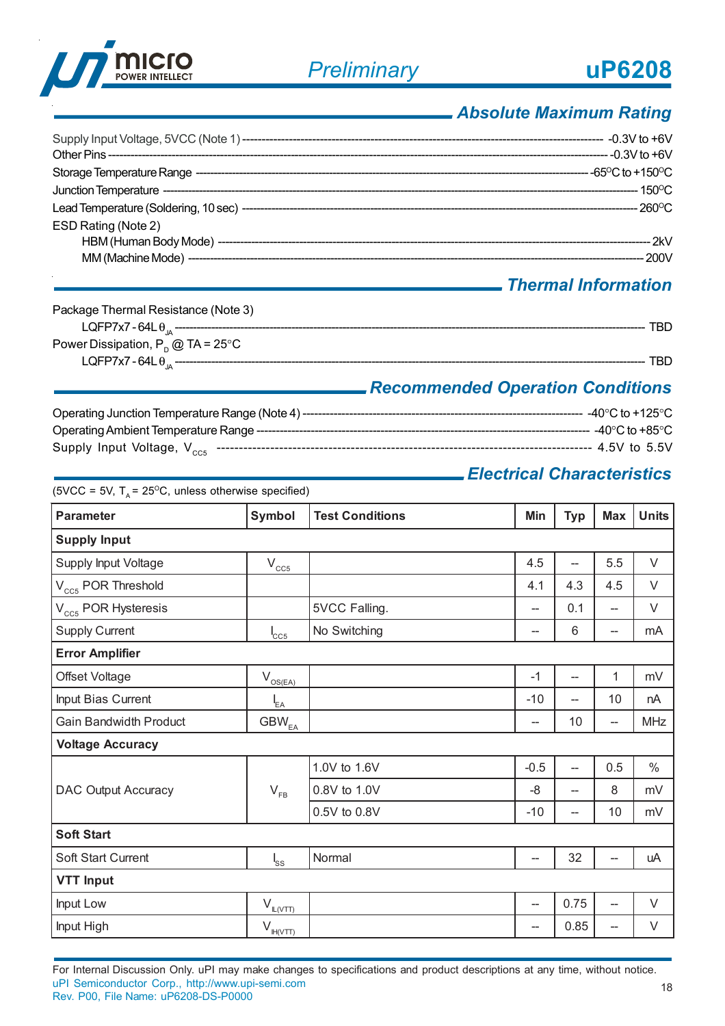

 $(SVCC = 5V)T = 25^{\circ}C$ , unless otherwise specified)

### *Absolute Maximum Rating*

|                     | $-150^{\circ}$ C |
|---------------------|------------------|
|                     |                  |
| ESD Rating (Note 2) |                  |
|                     | 2kV              |
|                     | 200V             |

### *Thermal Information*

| Package Thermal Resistance (Note 3)         |  |
|---------------------------------------------|--|
| LQFP7x7 - 64L $\theta_{10}$ --------------  |  |
| Power Dissipation, $P_p @ TA = 25^{\circ}C$ |  |
| LQFP7x7 - 64L $\theta_{10}$ --------        |  |

### *Recommended Operation Conditions*

| Operating Junction Temperature Range (Note 4) ----- | --- -40°C to +125°C  |
|-----------------------------------------------------|----------------------|
|                                                     | ----- -40°C to +85°C |
|                                                     | ----- 4.5V to 5.5V   |

### *Electrical Characteristics*

| <b>Parameter</b>              | Symbol                           | <b>Test Conditions</b> | Min                                | <b>Typ</b>               | <b>Max</b>                         | <b>Units</b> |  |
|-------------------------------|----------------------------------|------------------------|------------------------------------|--------------------------|------------------------------------|--------------|--|
| <b>Supply Input</b>           |                                  |                        |                                    |                          |                                    |              |  |
| Supply Input Voltage          | $V_{CC5}$                        |                        | 4.5                                | --                       | 5.5                                | $\vee$       |  |
| $V_{CC5}$ POR Threshold       |                                  |                        | 4.1                                | 4.3                      | 4.5                                | $\vee$       |  |
| $V_{CC5}$ POR Hysteresis      |                                  | 5VCC Falling.          | --                                 | 0.1                      | $\overline{\phantom{a}}$           | $\vee$       |  |
| <b>Supply Current</b>         | $I_{CC5}$                        | No Switching           | --                                 | 6                        | $\hspace{0.05cm} -\hspace{0.05cm}$ | mA           |  |
| <b>Error Amplifier</b>        |                                  |                        |                                    |                          |                                    |              |  |
| Offset Voltage                | $V_{\text{OS(EA)}}$              |                        | $-1$                               | $\overline{\phantom{0}}$ | 1                                  | mV           |  |
| Input Bias Current            | $I_{EA}$                         |                        | $-10$                              | $\overline{a}$           | 10                                 | nA           |  |
| <b>Gain Bandwidth Product</b> | $\text{GBW}_\text{\tiny{EA}}$    |                        | $\hspace{0.05cm} -\hspace{0.05cm}$ | 10                       | $\overline{\phantom{0}}$           | <b>MHz</b>   |  |
| <b>Voltage Accuracy</b>       |                                  |                        |                                    |                          |                                    |              |  |
|                               |                                  | 1.0V to 1.6V           | $-0.5$                             | $\overline{\phantom{a}}$ | 0.5                                | $\%$         |  |
| <b>DAC Output Accuracy</b>    | $V_{FB}$                         | 0.8V to 1.0V           | -8                                 | --                       | 8                                  | mV           |  |
|                               |                                  | 0.5V to 0.8V           | $-10$                              | --                       | 10                                 | mV           |  |
| <b>Soft Start</b>             |                                  |                        |                                    |                          |                                    |              |  |
| Soft Start Current            | $I_{SS}$                         | Normal                 | $\hspace{0.05cm}$                  | 32                       | --                                 | uA           |  |
| <b>VTT Input</b>              |                                  |                        |                                    |                          |                                    |              |  |
| Input Low                     | $V_{\underline{\text{IL(VTT)}}}$ |                        | $\hspace{0.05cm}$                  | 0.75                     | $\overline{a}$                     | $\vee$       |  |
| Input High                    | $V_{\frac{\ H(VTT\ )}{\ W\ }}$   |                        | --                                 | 0.85                     | --                                 | V            |  |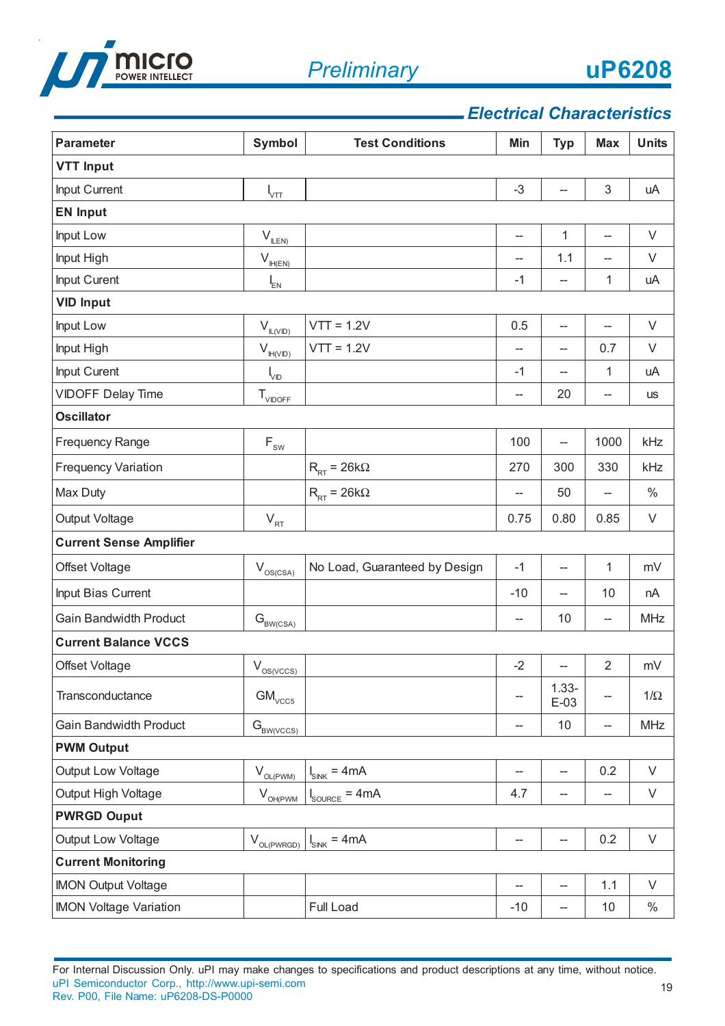

19

### *Electrical Characteristics*

| <b>Parameter</b>               | Symbol                                       | <b>Test Conditions</b>                    | Min                 | <b>Typ</b>               | <b>Max</b>                         | <b>Units</b> |
|--------------------------------|----------------------------------------------|-------------------------------------------|---------------------|--------------------------|------------------------------------|--------------|
| <b>VTT Input</b>               |                                              |                                           |                     |                          |                                    |              |
| Input Current                  | $\mathsf{l}_{\texttt{VTT}}$                  |                                           | $-3$                | --                       | 3                                  | uA           |
| <b>EN Input</b>                |                                              |                                           |                     |                          |                                    |              |
| Input Low                      | $V_{\text{I$                                 |                                           | $\hspace{0.05cm}$ – | 1                        | $\overline{\phantom{0}}$           | $\vee$       |
| Input High                     | $V_{H(EN)}$                                  |                                           | --                  | 1.1                      | $\hspace{0.05cm}$ –                | V            |
| Input Curent                   | $I_{EN}$                                     |                                           | $-1$                | $\overline{\phantom{0}}$ | 1                                  | uA           |
| <b>VID Input</b>               |                                              |                                           |                     |                          |                                    |              |
| Input Low                      | $V_{\mathbb{L}(\underline{VID})}$            | $VTT = 1.2V$                              | 0.5                 | $\overline{\phantom{a}}$ |                                    | $\vee$       |
| Input High                     | $V_{\mathbb{H}(\text{VID})}$                 | $VTT = 1.2V$                              | $-$                 | $-$                      | 0.7                                | V            |
| Input Curent                   | $\mathsf{l}_{\mathsf{VD}}$                   |                                           | $-1$                | --                       | 1                                  | uA           |
| <b>VIDOFF Delay Time</b>       | $T_{VIDOFF}$                                 |                                           | --                  | 20                       | --                                 | <b>us</b>    |
| <b>Oscillator</b>              |                                              |                                           |                     |                          |                                    |              |
| Frequency Range                | $\mathsf{F}_{\scriptscriptstyle\mathsf{SW}}$ |                                           | 100                 | $\overline{\phantom{a}}$ | 1000                               | kHz          |
| <b>Frequency Variation</b>     |                                              | $R_{RT}$ = 26k $\Omega$                   | 270                 | 300                      | 330                                | kHz          |
| Max Duty                       |                                              | $R_{\rm RT}$ = 26k $\Omega$               | --                  | 50                       | $\hspace{0.05cm} -$                | $\%$         |
| Output Voltage                 | $V_{RT}$                                     |                                           | 0.75                | 0.80                     | 0.85                               | V            |
| <b>Current Sense Amplifier</b> |                                              |                                           |                     |                          |                                    |              |
| Offset Voltage                 | $V_{OS(CSA)}$                                | No Load, Guaranteed by Design             | $-1$                | --                       | $\mathbf{1}$                       | mV           |
| Input Bias Current             |                                              |                                           | $-10$               | $-$                      | 10                                 | nA           |
| <b>Gain Bandwidth Product</b>  | $\mathbf{G}_{\textsc{BW}(\textsc{csa})}$     |                                           | $\hspace{0.05cm}$ – | 10                       | $\overline{\phantom{a}}$           | <b>MHz</b>   |
| <b>Current Balance VCCS</b>    |                                              |                                           |                     |                          |                                    |              |
| Offset Voltage                 | $V_{OS(VCCS)}$                               |                                           | $-2$                | $-\!$                    | $\sqrt{2}$                         | mV           |
| Transconductance               | $\text{GM}_\text{VCC5}$                      |                                           | --                  | $1.33 -$<br>$E-03$       | --                                 | $1/\Omega$   |
| <b>Gain Bandwidth Product</b>  | $G_{BW(VCCS)}$                               |                                           | --                  | 10                       | $-\!$                              | <b>MHz</b>   |
| <b>PWM Output</b>              |                                              |                                           |                     |                          |                                    |              |
| Output Low Voltage             | $V_{\text{OL}(\text{PWM})}$                  | $= 4mA$<br>$I_{\texttt{SINK}}$            | --                  | $-$                      | 0.2                                | $\vee$       |
| Output High Voltage            | $V_{\underbar{O}\underline{H(PWM)}}$         | $= 4mA$<br>$\mathsf{I}_{\mathsf{SOURCE}}$ | 4.7                 | —                        | $\hspace{0.05cm} -\hspace{0.05cm}$ | $\vee$       |
| <b>PWRGD Ouput</b>             |                                              |                                           |                     |                          |                                    |              |
| Output Low Voltage             | $V_{OL(PWRGD)}$                              | $I_{SINK} = 4mA$                          | --                  | --                       | 0.2                                | $\vee$       |
| <b>Current Monitoring</b>      |                                              |                                           |                     |                          |                                    |              |
| <b>IMON Output Voltage</b>     |                                              |                                           |                     | --                       | 1.1                                | V            |
| <b>IMON Voltage Variation</b>  |                                              | Full Load                                 | $-10$               | --                       | 10                                 | $\%$         |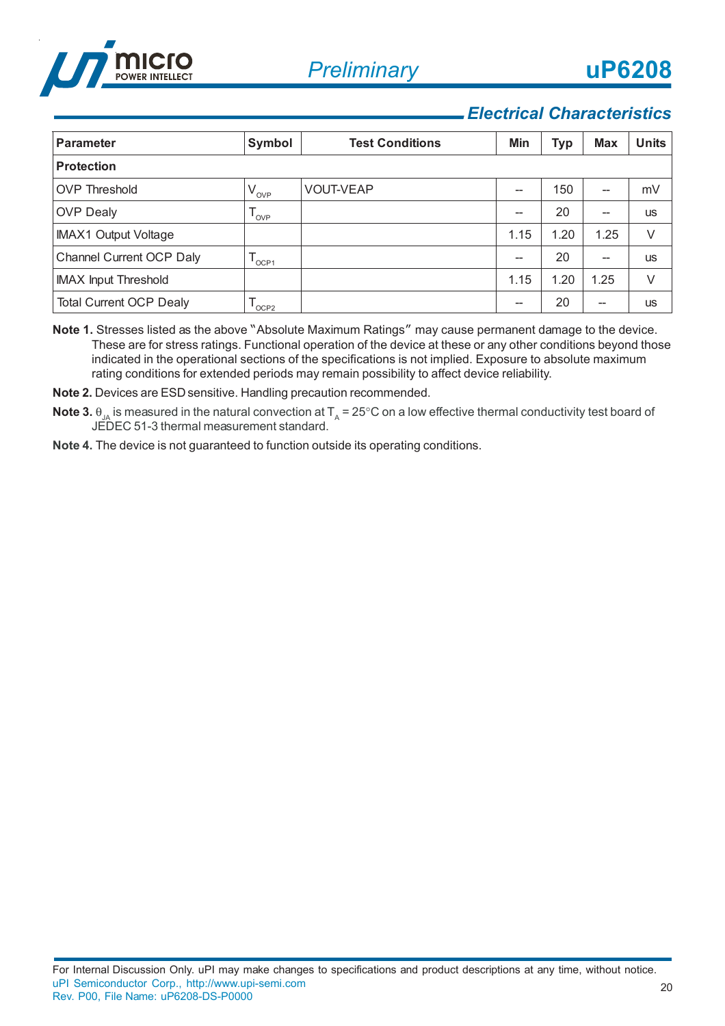

### *Electrical Characteristics*

| <b>Parameter</b>               | Symbol           | <b>Test Conditions</b> | Min  | Typ  | <b>Max</b> | <b>Units</b> |  |
|--------------------------------|------------------|------------------------|------|------|------------|--------------|--|
| <b>Protection</b>              |                  |                        |      |      |            |              |  |
| <b>OVP Threshold</b>           | $V_{_{\rm OVP}}$ | <b>VOUT-VEAP</b>       |      | 150  | --         | mV           |  |
| <b>OVP Dealy</b>               | OVP              |                        | --   | 20   | --         | <b>US</b>    |  |
| <b>IMAX1 Output Voltage</b>    |                  |                        | 1.15 | 1.20 | 1.25       | V            |  |
| Channel Current OCP Daly       | OCP1             |                        |      | 20   | --         | <b>US</b>    |  |
| <b>IMAX Input Threshold</b>    |                  |                        | 1.15 | 1.20 | 1.25       | V            |  |
| <b>Total Current OCP Dealy</b> | OCP <sub>2</sub> |                        | --   | 20   | --         | <b>US</b>    |  |

**Note 1.** Stresses listed as the above "Absolute Maximum Ratings" may cause permanent damage to the device. These are for stress ratings. Functional operation of the device at these or any other conditions beyond those indicated in the operational sections of the specifications is not implied. Exposure to absolute maximum rating conditions for extended periods may remain possibility to affect device reliability.

**Note 2.** Devices are ESD sensitive. Handling precaution recommended.

- $\bf{Note 3.}$   $\theta_{\lrcorner A}$  is measured in the natural convection at  $\bm{\mathsf{T}}_{\sf A}$  = 25°C on a low effective thermal conductivity test board of JEDEC 51-3 thermal measurement standard.
- **Note 4.** The device is not guaranteed to function outside its operating conditions.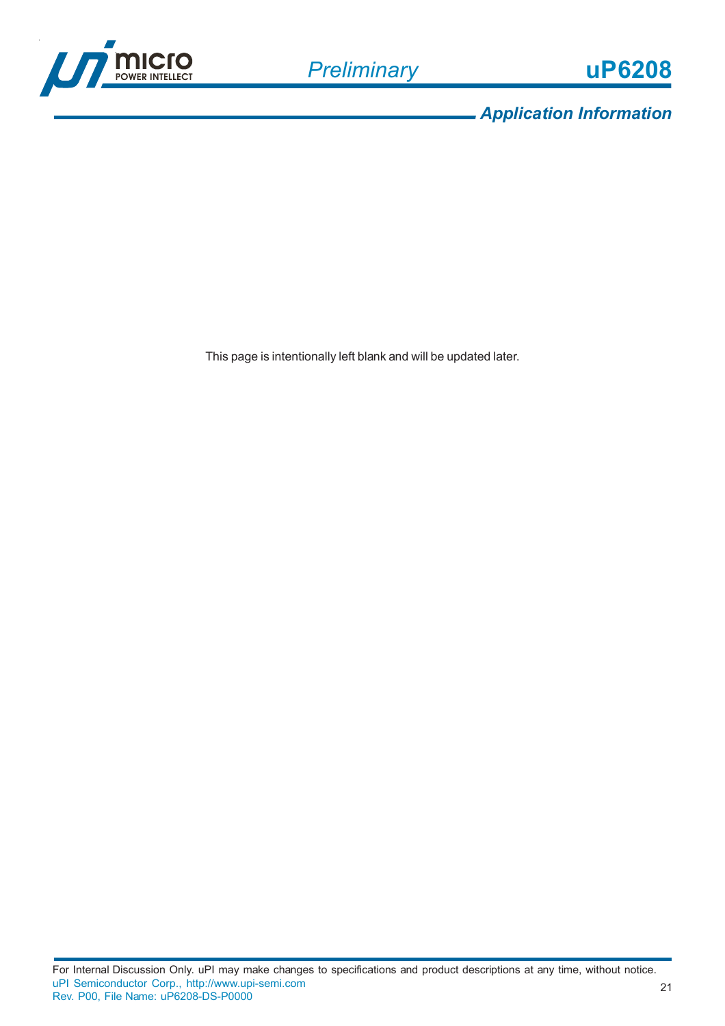

*Application Information*

This page is intentionally left blank and will be updated later.